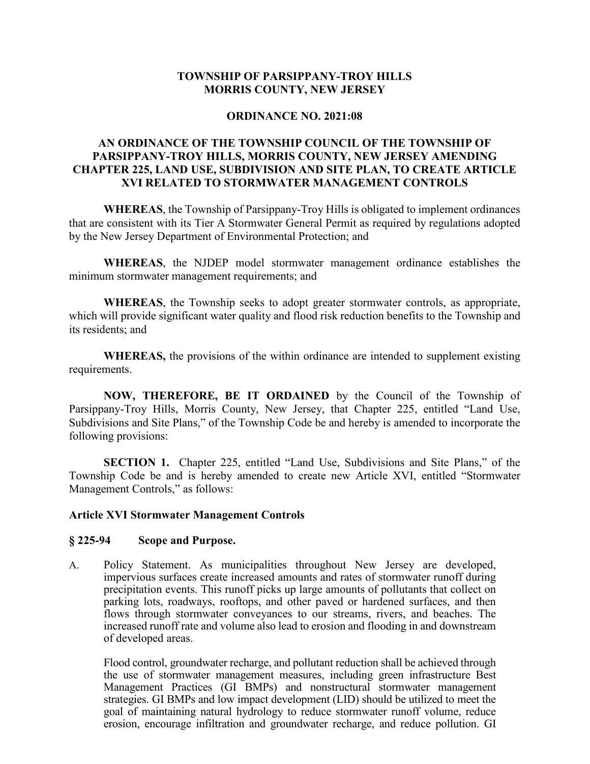#### **TOWNSHIP OF PARSIPPANY-TROY HILLS MORRIS COUNTY, NEW JERSEY**

#### **ORDINANCE NO. 2021:08**

### **AN ORDINANCE OF THE TOWNSHIP COUNCIL OF THE TOWNSHIP OF PARSIPPANY-TROY HILLS, MORRIS COUNTY, NEW JERSEY AMENDING CHAPTER 225, LAND USE, SUBDIVISION AND SITE PLAN, TO CREATE ARTICLE XVI RELATED TO STORMWATER MANAGEMENT CONTROLS**

**WHEREAS**, the Township of Parsippany-Troy Hills is obligated to implement ordinances that are consistent with its Tier A Stormwater General Permit as required by regulations adopted by the New Jersey Department of Environmental Protection; and

**WHEREAS**, the NJDEP model stormwater management ordinance establishes the minimum stormwater management requirements; and

**WHEREAS**, the Township seeks to adopt greater stormwater controls, as appropriate, which will provide significant water quality and flood risk reduction benefits to the Township and its residents; and

**WHEREAS,** the provisions of the within ordinance are intended to supplement existing requirements.

**NOW, THEREFORE, BE IT ORDAINED** by the Council of the Township of Parsippany-Troy Hills, Morris County, New Jersey, that Chapter 225, entitled "Land Use, Subdivisions and Site Plans," of the Township Code be and hereby is amended to incorporate the following provisions:

**SECTION 1.** Chapter 225, entitled "Land Use, Subdivisions and Site Plans," of the Township Code be and is hereby amended to create new Article XVI, entitled "Stormwater Management Controls," as follows:

#### **Article XVI Stormwater Management Controls**

#### **§ 225-94 Scope and Purpose.**

A. Policy Statement. As municipalities throughout New Jersey are developed, impervious surfaces create increased amounts and rates of stormwater runoff during precipitation events. This runoff picks up large amounts of pollutants that collect on parking lots, roadways, rooftops, and other paved or hardened surfaces, and then flows through stormwater conveyances to our streams, rivers, and beaches. The increased runoff rate and volume also lead to erosion and flooding in and downstream of developed areas.

Flood control, groundwater recharge, and pollutant reduction shall be achieved through the use of stormwater management measures, including green infrastructure Best Management Practices (GI BMPs) and nonstructural stormwater management strategies. GI BMPs and low impact development (LID) should be utilized to meet the goal of maintaining natural hydrology to reduce stormwater runoff volume, reduce erosion, encourage infiltration and groundwater recharge, and reduce pollution. GI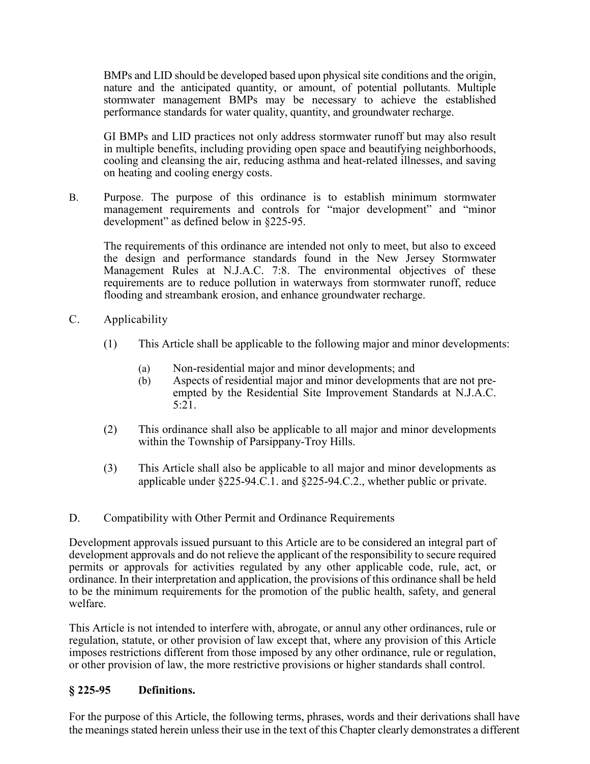BMPs and LID should be developed based upon physical site conditions and the origin, nature and the anticipated quantity, or amount, of potential pollutants. Multiple stormwater management BMPs may be necessary to achieve the established performance standards for water quality, quantity, and groundwater recharge.

GI BMPs and LID practices not only address stormwater runoff but may also result in multiple benefits, including providing open space and beautifying neighborhoods, cooling and cleansing the air, reducing asthma and heat-related illnesses, and saving on heating and cooling energy costs.

B. Purpose. The purpose of this ordinance is to establish minimum stormwater management requirements and controls for "major development" and "minor development" as defined below in §225-95.

The requirements of this ordinance are intended not only to meet, but also to exceed the design and performance standards found in the New Jersey Stormwater Management Rules at N.J.A.C. 7:8. The environmental objectives of these requirements are to reduce pollution in waterways from stormwater runoff, reduce flooding and streambank erosion, and enhance groundwater recharge.

- C. Applicability
	- (1) This Article shall be applicable to the following major and minor developments:
		- (a) Non-residential major and minor developments; and
		- (b) Aspects of residential major and minor developments that are not preempted by the Residential Site Improvement Standards at N.J.A.C. 5:21.
	- (2) This ordinance shall also be applicable to all major and minor developments within the Township of Parsippany-Troy Hills.
	- (3) This Article shall also be applicable to all major and minor developments as applicable under §225-94.C.1. and §225-94.C.2., whether public or private.
- D. Compatibility with Other Permit and Ordinance Requirements

Development approvals issued pursuant to this Article are to be considered an integral part of development approvals and do not relieve the applicant of the responsibility to secure required permits or approvals for activities regulated by any other applicable code, rule, act, or ordinance. In their interpretation and application, the provisions of this ordinance shall be held to be the minimum requirements for the promotion of the public health, safety, and general welfare.

This Article is not intended to interfere with, abrogate, or annul any other ordinances, rule or regulation, statute, or other provision of law except that, where any provision of this Article imposes restrictions different from those imposed by any other ordinance, rule or regulation, or other provision of law, the more restrictive provisions or higher standards shall control.

#### **§ 225-95 Definitions.**

For the purpose of this Article, the following terms, phrases, words and their derivations shall have the meanings stated herein unless their use in the text of this Chapter clearly demonstrates a different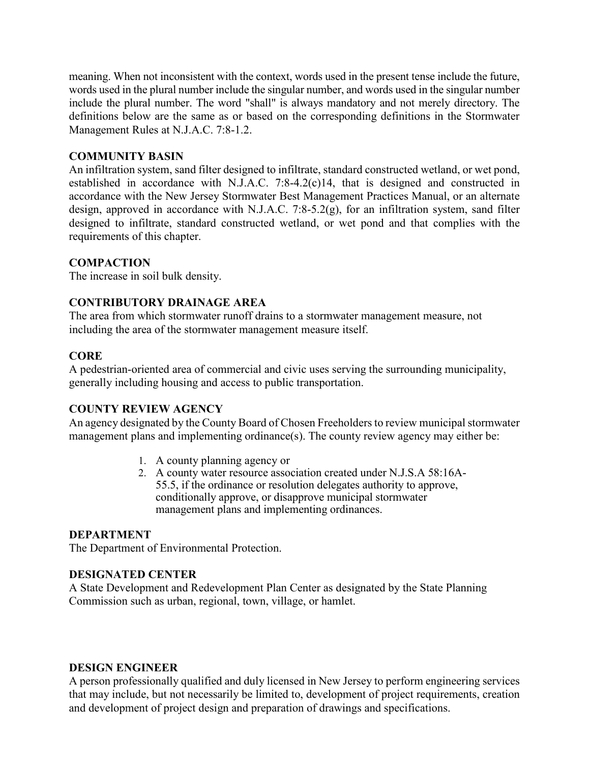meaning. When not inconsistent with the context, words used in the present tense include the future, words used in the plural number include the singular number, and words used in the singular number include the plural number. The word "shall" is always mandatory and not merely directory. The definitions below are the same as or based on the corresponding definitions in the Stormwater Management Rules at N.J.A.C. 7:8-1.2.

### **COMMUNITY BASIN**

An infiltration system, sand filter designed to infiltrate, standard constructed wetland, or wet pond, established in accordance with N.J.A.C. 7:8-4.2(c)14, that is designed and constructed in accordance with the New Jersey Stormwater Best Management Practices Manual, or an alternate design, approved in accordance with N.J.A.C. 7:8-5.2(g), for an infiltration system, sand filter designed to infiltrate, standard constructed wetland, or wet pond and that complies with the requirements of this chapter.

#### **COMPACTION**

The increase in soil bulk density.

### **CONTRIBUTORY DRAINAGE AREA**

The area from which stormwater runoff drains to a stormwater management measure, not including the area of the stormwater management measure itself.

#### **CORE**

A pedestrian-oriented area of commercial and civic uses serving the surrounding municipality, generally including housing and access to public transportation.

#### **COUNTY REVIEW AGENCY**

An agency designated by the County Board of Chosen Freeholders to review municipal stormwater management plans and implementing ordinance(s). The county review agency may either be:

- 1. A county planning agency or
- 2. A county water resource association created under N.J.S.A 58:16A-55.5, if the ordinance or resolution delegates authority to approve, conditionally approve, or disapprove municipal stormwater management plans and implementing ordinances.

#### **DEPARTMENT**

The Department of Environmental Protection.

#### **DESIGNATED CENTER**

A State Development and Redevelopment Plan Center as designated by the State Planning Commission such as urban, regional, town, village, or hamlet.

#### **DESIGN ENGINEER**

A person professionally qualified and duly licensed in New Jersey to perform engineering services that may include, but not necessarily be limited to, development of project requirements, creation and development of project design and preparation of drawings and specifications.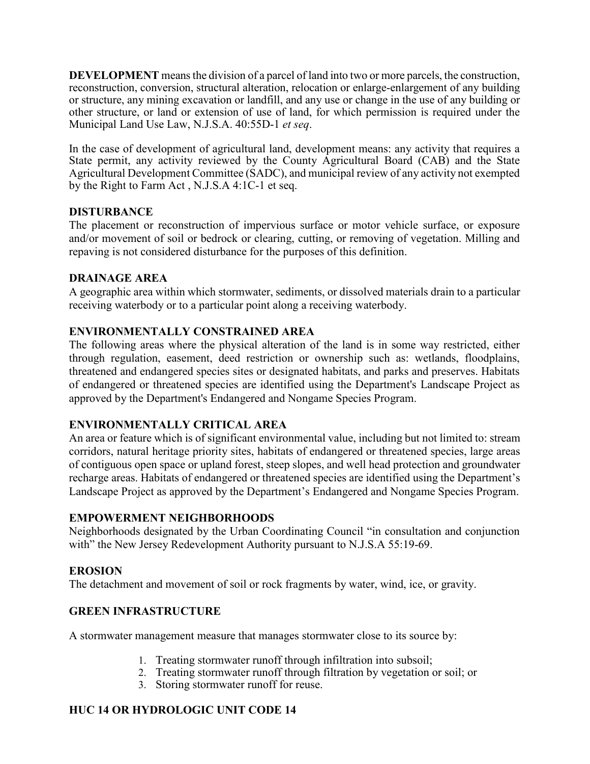**DEVELOPMENT** means the division of a parcel of land into two or more parcels, the construction, reconstruction, conversion, structural alteration, relocation or enlarge-enlargement of any building or structure, any mining excavation or landfill, and any use or change in the use of any building or other structure, or land or extension of use of land, for which permission is required under the Municipal Land Use Law, N.J.S.A. 40:55D-1 *et seq*.

In the case of development of agricultural land, development means: any activity that requires a State permit, any activity reviewed by the County Agricultural Board (CAB) and the State Agricultural Development Committee (SADC), and municipal review of any activity not exempted by the Right to Farm Act , N.J.S.A 4:1C-1 et seq.

# **DISTURBANCE**

The placement or reconstruction of impervious surface or motor vehicle surface, or exposure and/or movement of soil or bedrock or clearing, cutting, or removing of vegetation. Milling and repaving is not considered disturbance for the purposes of this definition.

### **DRAINAGE AREA**

A geographic area within which stormwater, sediments, or dissolved materials drain to a particular receiving waterbody or to a particular point along a receiving waterbody.

# **ENVIRONMENTALLY CONSTRAINED AREA**

The following areas where the physical alteration of the land is in some way restricted, either through regulation, easement, deed restriction or ownership such as: wetlands, floodplains, threatened and endangered species sites or designated habitats, and parks and preserves. Habitats of endangered or threatened species are identified using the Department's Landscape Project as approved by the Department's Endangered and Nongame Species Program.

# **ENVIRONMENTALLY CRITICAL AREA**

An area or feature which is of significant environmental value, including but not limited to: stream corridors, natural heritage priority sites, habitats of endangered or threatened species, large areas of contiguous open space or upland forest, steep slopes, and well head protection and groundwater recharge areas. Habitats of endangered or threatened species are identified using the Department's Landscape Project as approved by the Department's Endangered and Nongame Species Program.

### **EMPOWERMENT NEIGHBORHOODS**

Neighborhoods designated by the Urban Coordinating Council "in consultation and conjunction with" the New Jersey Redevelopment Authority pursuant to N.J.S.A 55:19-69.

### **EROSION**

The detachment and movement of soil or rock fragments by water, wind, ice, or gravity.

# **GREEN INFRASTRUCTURE**

A stormwater management measure that manages stormwater close to its source by:

- 1. Treating stormwater runoff through infiltration into subsoil;
- 2. Treating stormwater runoff through filtration by vegetation or soil; or
- 3. Storing stormwater runoff for reuse.

# **HUC 14 OR HYDROLOGIC UNIT CODE 14**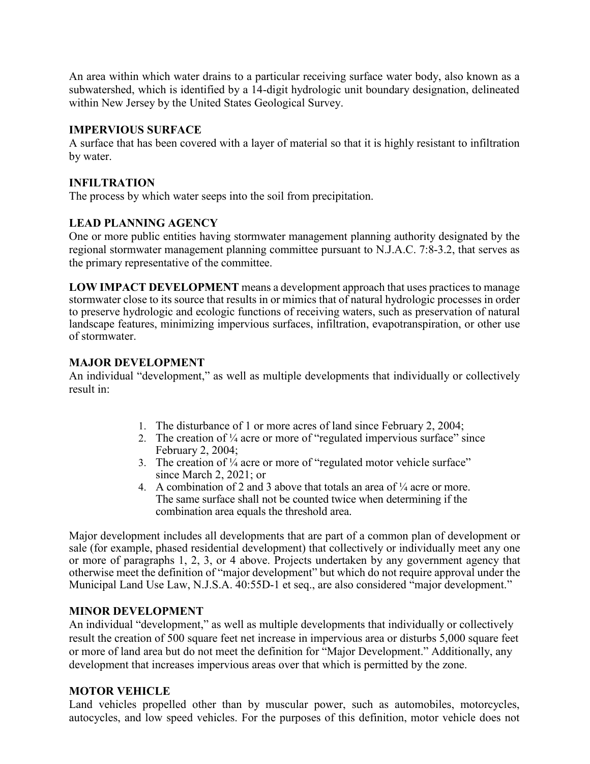An area within which water drains to a particular receiving surface water body, also known as a subwatershed, which is identified by a 14-digit hydrologic unit boundary designation, delineated within New Jersey by the United States Geological Survey.

## **IMPERVIOUS SURFACE**

A surface that has been covered with a layer of material so that it is highly resistant to infiltration by water.

### **INFILTRATION**

The process by which water seeps into the soil from precipitation.

# **LEAD PLANNING AGENCY**

One or more public entities having stormwater management planning authority designated by the regional stormwater management planning committee pursuant to N.J.A.C. 7:8-3.2, that serves as the primary representative of the committee.

**LOW IMPACT DEVELOPMENT** means a development approach that uses practices to manage stormwater close to its source that results in or mimics that of natural hydrologic processes in order to preserve hydrologic and ecologic functions of receiving waters, such as preservation of natural landscape features, minimizing impervious surfaces, infiltration, evapotranspiration, or other use of stormwater.

# **MAJOR DEVELOPMENT**

An individual "development," as well as multiple developments that individually or collectively result in:

- 1. The disturbance of 1 or more acres of land since February 2, 2004;
- 2. The creation of  $\frac{1}{4}$  acre or more of "regulated impervious surface" since February 2, 2004;
- 3. The creation of  $\frac{1}{4}$  acre or more of "regulated motor vehicle surface" since March 2, 2021; or
- 4. A combination of 2 and 3 above that totals an area of  $\frac{1}{4}$  acre or more. The same surface shall not be counted twice when determining if the combination area equals the threshold area.

Major development includes all developments that are part of a common plan of development or sale (for example, phased residential development) that collectively or individually meet any one or more of paragraphs 1, 2, 3, or 4 above. Projects undertaken by any government agency that otherwise meet the definition of "major development" but which do not require approval under the Municipal Land Use Law, N.J.S.A. 40:55D-1 et seq., are also considered "major development."

### **MINOR DEVELOPMENT**

An individual "development," as well as multiple developments that individually or collectively result the creation of 500 square feet net increase in impervious area or disturbs 5,000 square feet or more of land area but do not meet the definition for "Major Development." Additionally, any development that increases impervious areas over that which is permitted by the zone.

### **MOTOR VEHICLE**

Land vehicles propelled other than by muscular power, such as automobiles, motorcycles, autocycles, and low speed vehicles. For the purposes of this definition, motor vehicle does not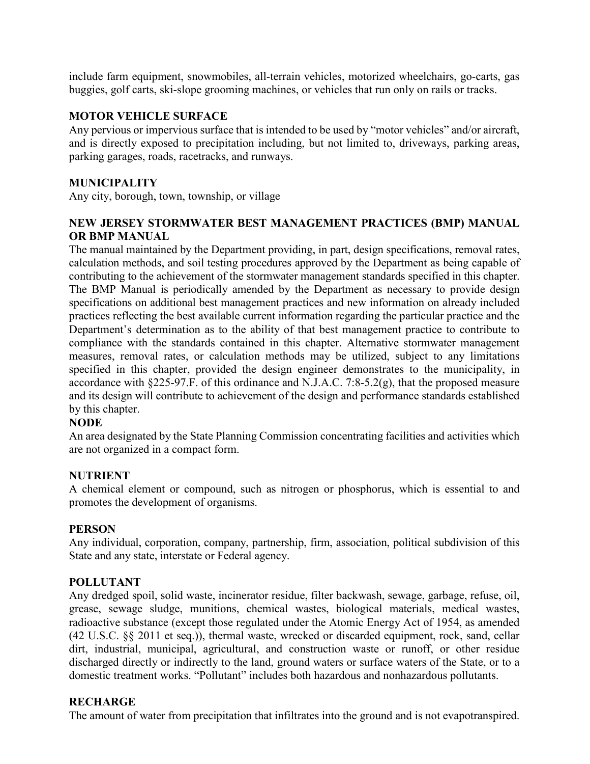include farm equipment, snowmobiles, all-terrain vehicles, motorized wheelchairs, go-carts, gas buggies, golf carts, ski-slope grooming machines, or vehicles that run only on rails or tracks.

### **MOTOR VEHICLE SURFACE**

Any pervious or impervious surface that is intended to be used by "motor vehicles" and/or aircraft, and is directly exposed to precipitation including, but not limited to, driveways, parking areas, parking garages, roads, racetracks, and runways.

### **MUNICIPALITY**

Any city, borough, town, township, or village

## **NEW JERSEY STORMWATER BEST MANAGEMENT PRACTICES (BMP) MANUAL OR BMP MANUAL**

The manual maintained by the Department providing, in part, design specifications, removal rates, calculation methods, and soil testing procedures approved by the Department as being capable of contributing to the achievement of the stormwater management standards specified in this chapter. The BMP Manual is periodically amended by the Department as necessary to provide design specifications on additional best management practices and new information on already included practices reflecting the best available current information regarding the particular practice and the Department's determination as to the ability of that best management practice to contribute to compliance with the standards contained in this chapter. Alternative stormwater management measures, removal rates, or calculation methods may be utilized, subject to any limitations specified in this chapter, provided the design engineer demonstrates to the municipality, in accordance with  $§225-97.F.$  of this ordinance and N.J.A.C. 7:8-5.2(g), that the proposed measure and its design will contribute to achievement of the design and performance standards established by this chapter.

### **NODE**

An area designated by the State Planning Commission concentrating facilities and activities which are not organized in a compact form.

### **NUTRIENT**

A chemical element or compound, such as nitrogen or phosphorus, which is essential to and promotes the development of organisms.

### **PERSON**

Any individual, corporation, company, partnership, firm, association, political subdivision of this State and any state, interstate or Federal agency.

### **POLLUTANT**

Any dredged spoil, solid waste, incinerator residue, filter backwash, sewage, garbage, refuse, oil, grease, sewage sludge, munitions, chemical wastes, biological materials, medical wastes, radioactive substance (except those regulated under the Atomic Energy Act of 1954, as amended (42 U.S.C. §§ 2011 et seq.)), thermal waste, wrecked or discarded equipment, rock, sand, cellar dirt, industrial, municipal, agricultural, and construction waste or runoff, or other residue discharged directly or indirectly to the land, ground waters or surface waters of the State, or to a domestic treatment works. "Pollutant" includes both hazardous and nonhazardous pollutants.

#### **RECHARGE**

The amount of water from precipitation that infiltrates into the ground and is not evapotranspired.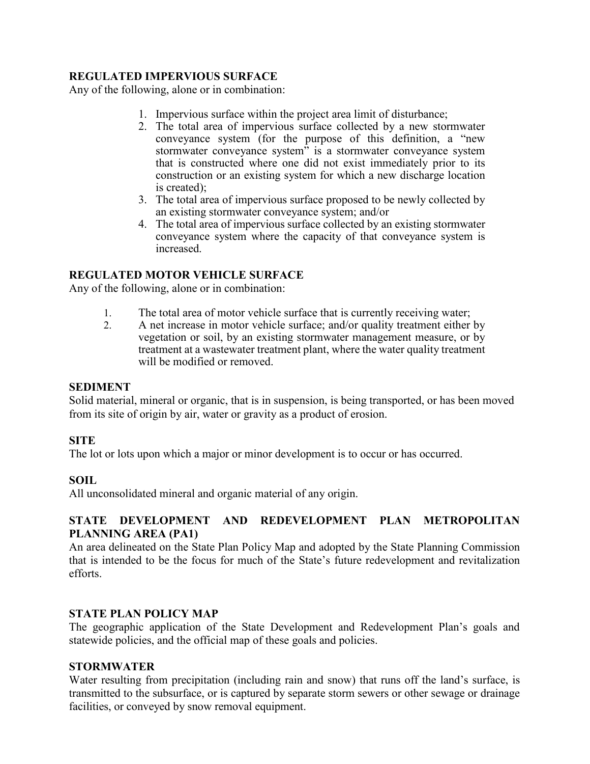## **REGULATED IMPERVIOUS SURFACE**

Any of the following, alone or in combination:

- 1. Impervious surface within the project area limit of disturbance;
- 2. The total area of impervious surface collected by a new stormwater conveyance system (for the purpose of this definition, a "new stormwater conveyance system" is a stormwater conveyance system that is constructed where one did not exist immediately prior to its construction or an existing system for which a new discharge location is created);
- 3. The total area of impervious surface proposed to be newly collected by an existing stormwater conveyance system; and/or
- 4. The total area of impervious surface collected by an existing stormwater conveyance system where the capacity of that conveyance system is increased.

### **REGULATED MOTOR VEHICLE SURFACE**

Any of the following, alone or in combination:

- 1. The total area of motor vehicle surface that is currently receiving water;
- 2. A net increase in motor vehicle surface; and/or quality treatment either by vegetation or soil, by an existing stormwater management measure, or by treatment at a wastewater treatment plant, where the water quality treatment will be modified or removed.

#### **SEDIMENT**

Solid material, mineral or organic, that is in suspension, is being transported, or has been moved from its site of origin by air, water or gravity as a product of erosion.

### **SITE**

The lot or lots upon which a major or minor development is to occur or has occurred.

### **SOIL**

All unconsolidated mineral and organic material of any origin.

### **STATE DEVELOPMENT AND REDEVELOPMENT PLAN METROPOLITAN PLANNING AREA (PA1)**

An area delineated on the State Plan Policy Map and adopted by the State Planning Commission that is intended to be the focus for much of the State's future redevelopment and revitalization efforts.

#### **STATE PLAN POLICY MAP**

The geographic application of the State Development and Redevelopment Plan's goals and statewide policies, and the official map of these goals and policies.

#### **STORMWATER**

Water resulting from precipitation (including rain and snow) that runs off the land's surface, is transmitted to the subsurface, or is captured by separate storm sewers or other sewage or drainage facilities, or conveyed by snow removal equipment.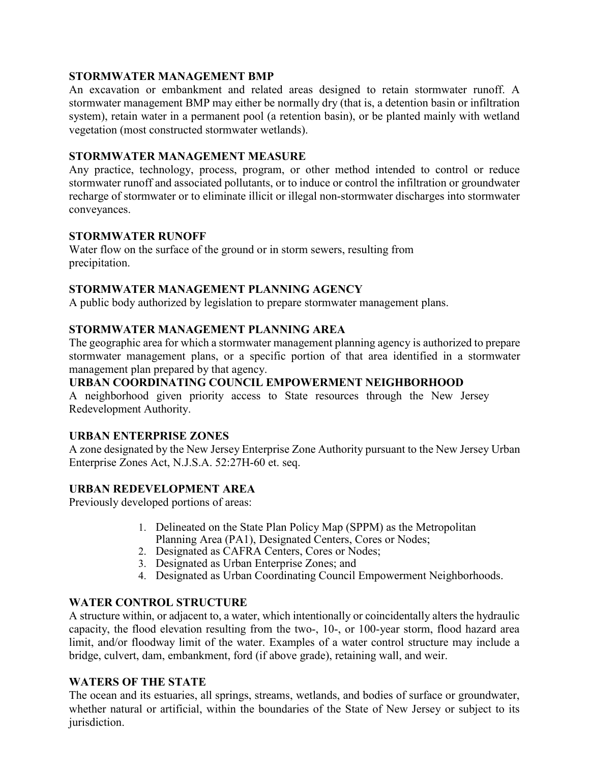### **STORMWATER MANAGEMENT BMP**

An excavation or embankment and related areas designed to retain stormwater runoff. A stormwater management BMP may either be normally dry (that is, a detention basin or infiltration system), retain water in a permanent pool (a retention basin), or be planted mainly with wetland vegetation (most constructed stormwater wetlands).

### **STORMWATER MANAGEMENT MEASURE**

Any practice, technology, process, program, or other method intended to control or reduce stormwater runoff and associated pollutants, or to induce or control the infiltration or groundwater recharge of stormwater or to eliminate illicit or illegal non-stormwater discharges into stormwater conveyances.

### **STORMWATER RUNOFF**

Water flow on the surface of the ground or in storm sewers, resulting from precipitation.

### **STORMWATER MANAGEMENT PLANNING AGENCY**

A public body authorized by legislation to prepare stormwater management plans.

### **STORMWATER MANAGEMENT PLANNING AREA**

The geographic area for which a stormwater management planning agency is authorized to prepare stormwater management plans, or a specific portion of that area identified in a stormwater management plan prepared by that agency.

### **URBAN COORDINATING COUNCIL EMPOWERMENT NEIGHBORHOOD**

A neighborhood given priority access to State resources through the New Jersey Redevelopment Authority.

#### **URBAN ENTERPRISE ZONES**

A zone designated by the New Jersey Enterprise Zone Authority pursuant to the New Jersey Urban Enterprise Zones Act, N.J.S.A. 52:27H-60 et. seq.

#### **URBAN REDEVELOPMENT AREA**

Previously developed portions of areas:

- 1. Delineated on the State Plan Policy Map (SPPM) as the Metropolitan Planning Area (PA1), Designated Centers, Cores or Nodes;
- 2. Designated as CAFRA Centers, Cores or Nodes;
- 3. Designated as Urban Enterprise Zones; and
- 4. Designated as Urban Coordinating Council Empowerment Neighborhoods.

#### **WATER CONTROL STRUCTURE**

A structure within, or adjacent to, a water, which intentionally or coincidentally alters the hydraulic capacity, the flood elevation resulting from the two-, 10-, or 100-year storm, flood hazard area limit, and/or floodway limit of the water. Examples of a water control structure may include a bridge, culvert, dam, embankment, ford (if above grade), retaining wall, and weir.

#### **WATERS OF THE STATE**

The ocean and its estuaries, all springs, streams, wetlands, and bodies of surface or groundwater, whether natural or artificial, within the boundaries of the State of New Jersey or subject to its jurisdiction.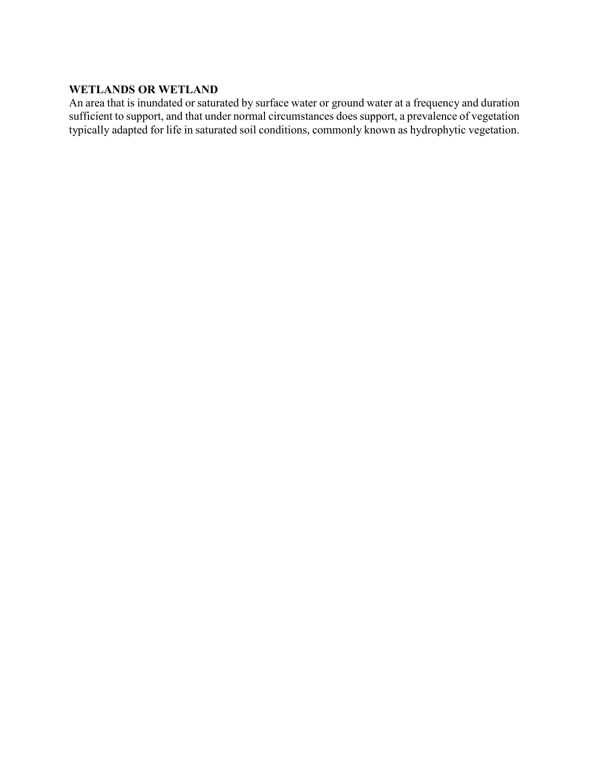#### **WETLANDS OR WETLAND**

An area that is inundated or saturated by surface water or ground water at a frequency and duration sufficient to support, and that under normal circumstances does support, a prevalence of vegetation typically adapted for life in saturated soil conditions, commonly known as hydrophytic vegetation.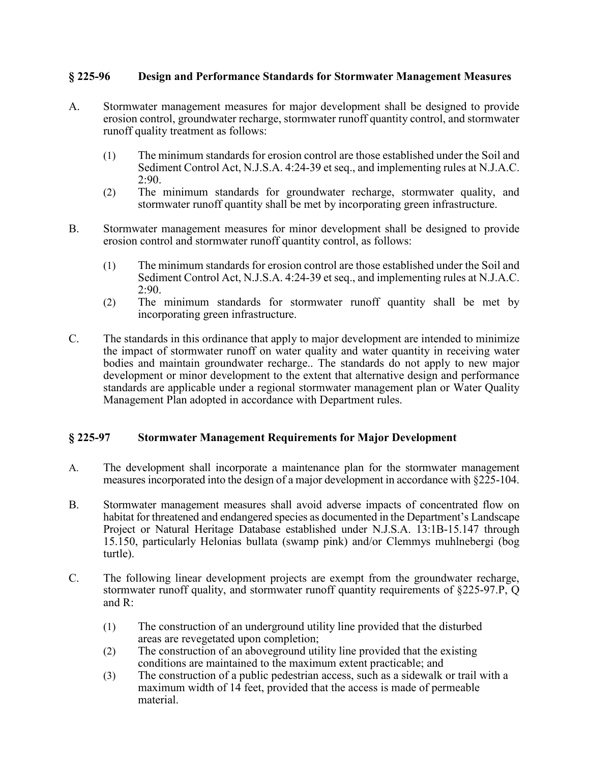### **§ 225-96 Design and Performance Standards for Stormwater Management Measures**

- A. Stormwater management measures for major development shall be designed to provide erosion control, groundwater recharge, stormwater runoff quantity control, and stormwater runoff quality treatment as follows:
	- (1) The minimum standards for erosion control are those established under the Soil and Sediment Control Act, N.J.S.A. 4:24-39 et seq., and implementing rules at N.J.A.C. 2:90.
	- (2) The minimum standards for groundwater recharge, stormwater quality, and stormwater runoff quantity shall be met by incorporating green infrastructure.
- B. Stormwater management measures for minor development shall be designed to provide erosion control and stormwater runoff quantity control, as follows:
	- (1) The minimum standards for erosion control are those established under the Soil and Sediment Control Act, N.J.S.A. 4:24-39 et seq., and implementing rules at N.J.A.C. 2:90.
	- (2) The minimum standards for stormwater runoff quantity shall be met by incorporating green infrastructure.
- C. The standards in this ordinance that apply to major development are intended to minimize the impact of stormwater runoff on water quality and water quantity in receiving water bodies and maintain groundwater recharge.. The standards do not apply to new major development or minor development to the extent that alternative design and performance standards are applicable under a regional stormwater management plan or Water Quality Management Plan adopted in accordance with Department rules.

#### **§ 225-97 Stormwater Management Requirements for Major Development**

- A. The development shall incorporate a maintenance plan for the stormwater management measures incorporated into the design of a major development in accordance with §225-104.
- B. Stormwater management measures shall avoid adverse impacts of concentrated flow on habitat for threatened and endangered species as documented in the Department's Landscape Project or Natural Heritage Database established under N.J.S.A. 13:1B-15.147 through 15.150, particularly Helonias bullata (swamp pink) and/or Clemmys muhlnebergi (bog turtle).
- C. The following linear development projects are exempt from the groundwater recharge, stormwater runoff quality, and stormwater runoff quantity requirements of §225-97.P, Q and R:
	- (1) The construction of an underground utility line provided that the disturbed areas are revegetated upon completion;
	- (2) The construction of an aboveground utility line provided that the existing conditions are maintained to the maximum extent practicable; and
	- (3) The construction of a public pedestrian access, such as a sidewalk or trail with a maximum width of 14 feet, provided that the access is made of permeable material.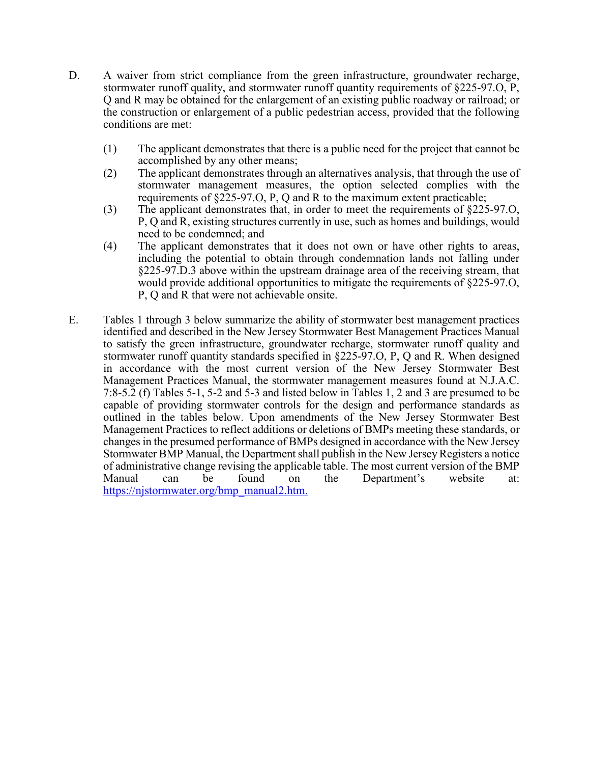- D. A waiver from strict compliance from the green infrastructure, groundwater recharge, stormwater runoff quality, and stormwater runoff quantity requirements of §225-97.O, P, Q and R may be obtained for the enlargement of an existing public roadway or railroad; or the construction or enlargement of a public pedestrian access, provided that the following conditions are met:
	- (1) The applicant demonstrates that there is a public need for the project that cannot be accomplished by any other means;
	- (2) The applicant demonstrates through an alternatives analysis, that through the use of stormwater management measures, the option selected complies with the requirements of §225-97.O, P, Q and R to the maximum extent practicable;
	- (3) The applicant demonstrates that, in order to meet the requirements of §225-97.O, P, Q and R, existing structures currently in use, such as homes and buildings, would need to be condemned; and
	- (4) The applicant demonstrates that it does not own or have other rights to areas, including the potential to obtain through condemnation lands not falling under §225-97.D.3 above within the upstream drainage area of the receiving stream, that would provide additional opportunities to mitigate the requirements of §225-97.O, P, Q and R that were not achievable onsite.
- E. Tables 1 through 3 below summarize the ability of stormwater best management practices identified and described in the New Jersey Stormwater Best Management Practices Manual to satisfy the green infrastructure, groundwater recharge, stormwater runoff quality and stormwater runoff quantity standards specified in §225-97.O, P, Q and R. When designed in accordance with the most current version of the New Jersey Stormwater Best Management Practices Manual, the stormwater management measures found at N.J.A.C. 7:8-5.2 (f) Tables 5-1, 5-2 and 5-3 and listed below in Tables 1, 2 and 3 are presumed to be capable of providing stormwater controls for the design and performance standards as outlined in the tables below. Upon amendments of the New Jersey Stormwater Best Management Practices to reflect additions or deletions of BMPs meeting these standards, or changes in the presumed performance of BMPs designed in accordance with the New Jersey Stormwater BMP Manual, the Department shall publish in the New Jersey Registers a notice of administrative change revising the applicable table. The most current version of the BMP<br>Manual can be found on the Department's website at: can be found on the Department's website at: [https://njstormwater.org/bmp\\_manual2.htm.](https://njstormwater.org/bmp_manual2.htm.)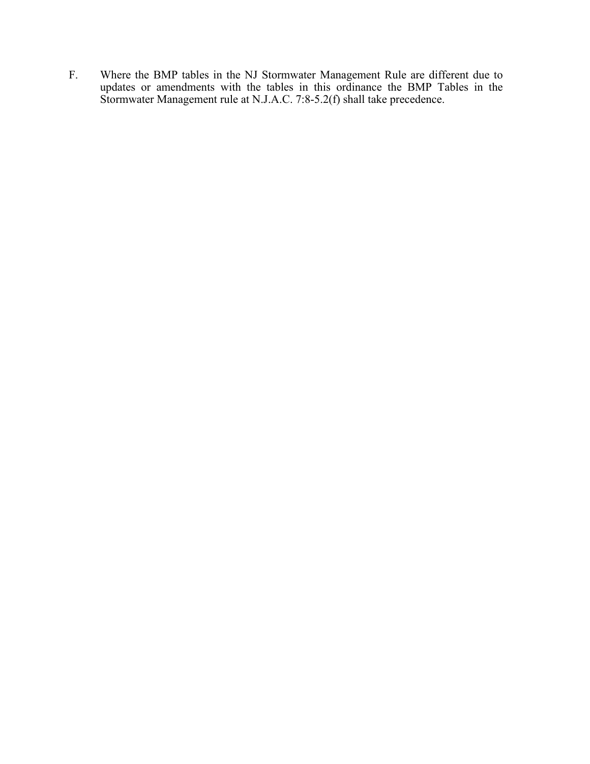F. Where the BMP tables in the NJ Stormwater Management Rule are different due to updates or amendments with the tables in this ordinance the BMP Tables in the Stormwater Management rule at N.J.A.C. 7:8-5.2(f) shall take precedence.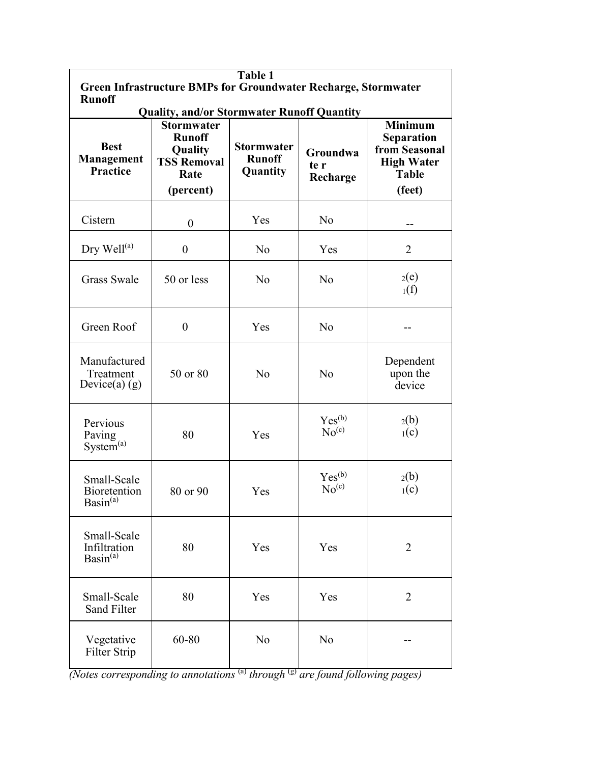| Table 1<br><b>Green Infrastructure BMPs for Groundwater Recharge, Stormwater</b> |                                                                                          |                                                |                                                    |                                                                                                     |
|----------------------------------------------------------------------------------|------------------------------------------------------------------------------------------|------------------------------------------------|----------------------------------------------------|-----------------------------------------------------------------------------------------------------|
| <b>Runoff</b><br><b>Quality, and/or Stormwater Runoff Quantity</b>               |                                                                                          |                                                |                                                    |                                                                                                     |
| <b>Best</b><br>Management<br><b>Practice</b>                                     | <b>Stormwater</b><br><b>Runoff</b><br>Quality<br><b>TSS Removal</b><br>Rate<br>(percent) | <b>Stormwater</b><br><b>Runoff</b><br>Quantity | Groundwa<br>te r<br>Recharge                       | <b>Minimum</b><br><b>Separation</b><br>from Seasonal<br><b>High Water</b><br><b>Table</b><br>(feet) |
| Cistern                                                                          | $\boldsymbol{0}$                                                                         | Yes                                            | No                                                 |                                                                                                     |
| Dry Well <sup>(a)</sup>                                                          | $\boldsymbol{0}$                                                                         | N <sub>o</sub>                                 | Yes                                                | $\overline{2}$                                                                                      |
| <b>Grass Swale</b>                                                               | 50 or less                                                                               | N <sub>o</sub>                                 | No                                                 | 2(e)<br>$_1(f)$                                                                                     |
| Green Roof                                                                       | $\theta$                                                                                 | Yes                                            | No                                                 |                                                                                                     |
| Manufactured<br>Treatment<br>Device(a) $(g)$                                     | 50 or 80                                                                                 | No                                             | No                                                 | Dependent<br>upon the<br>device                                                                     |
| Pervious<br>Paving<br>System <sup>(a)</sup>                                      | 80                                                                                       | Yes                                            | Yes <sup>(b)</sup><br>No <sup>(c)</sup>            | 2(b)<br>$_1(c)$                                                                                     |
| Small-Scale<br>Bioretention<br>$Basin^{(a)}$                                     | 80 or 90                                                                                 | Yes                                            | $\mathrm{Yes}^{(\mathrm{b})}$<br>No <sup>(c)</sup> | 2(b)<br>$_1(c)$                                                                                     |
| Small-Scale<br>Infiltration<br>Basin <sup>(a)</sup>                              | 80                                                                                       | Yes                                            | Yes                                                | $\overline{2}$                                                                                      |
| Small-Scale<br><b>Sand Filter</b>                                                | 80                                                                                       | Yes                                            | Yes                                                | $\overline{2}$                                                                                      |
| Vegetative<br>Filter Strip                                                       | 60-80                                                                                    | No                                             | No                                                 |                                                                                                     |

*(Notes corresponding to annotations* <sup>(a)</sup> *through* <sup>(g)</sup> *are found following pages)*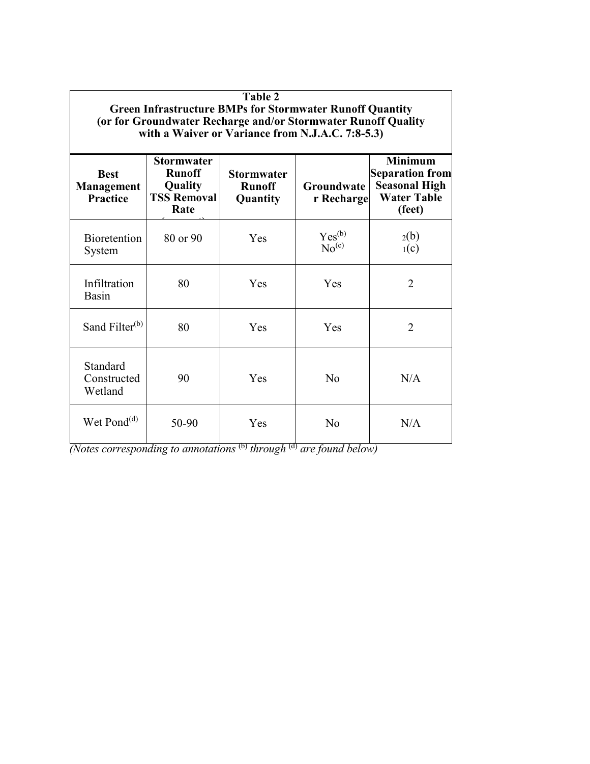| Table 2<br><b>Green Infrastructure BMPs for Stormwater Runoff Quantity</b><br>(or for Groundwater Recharge and/or Stormwater Runoff Quality<br>with a Waiver or Variance from N.J.A.C. 7:8-5.3) |                                                                             |                                                       |                                         |                                                                                                  |  |
|-------------------------------------------------------------------------------------------------------------------------------------------------------------------------------------------------|-----------------------------------------------------------------------------|-------------------------------------------------------|-----------------------------------------|--------------------------------------------------------------------------------------------------|--|
| <b>Best</b><br>Management<br><b>Practice</b>                                                                                                                                                    | <b>Stormwater</b><br><b>Runoff</b><br>Quality<br><b>TSS Removal</b><br>Rate | <b>Stormwater</b><br><b>Runoff</b><br><b>Quantity</b> | Groundwate<br>r Recharge                | <b>Minimum</b><br><b>Separation from</b><br><b>Seasonal High</b><br><b>Water Table</b><br>(feet) |  |
| <b>Bioretention</b><br>System                                                                                                                                                                   | 80 or 90                                                                    | Yes                                                   | Yes <sup>(b)</sup><br>No <sup>(c)</sup> | 2(b)<br>$_1(c)$                                                                                  |  |
| Infiltration<br>Basin                                                                                                                                                                           | 80                                                                          | Yes                                                   | <b>Yes</b>                              | $\overline{2}$                                                                                   |  |
| Sand Filter <sup>(b)</sup>                                                                                                                                                                      | 80                                                                          | Yes                                                   | Yes                                     | $\overline{2}$                                                                                   |  |
| Standard<br>Constructed<br>Wetland                                                                                                                                                              | 90                                                                          | Yes                                                   | N <sub>0</sub>                          | N/A                                                                                              |  |
| Wet Pond $^{(d)}$                                                                                                                                                                               | 50-90                                                                       | Yes                                                   | No                                      | N/A                                                                                              |  |

*(Notes corresponding to annotations* (b) *through* (d) *are found below)*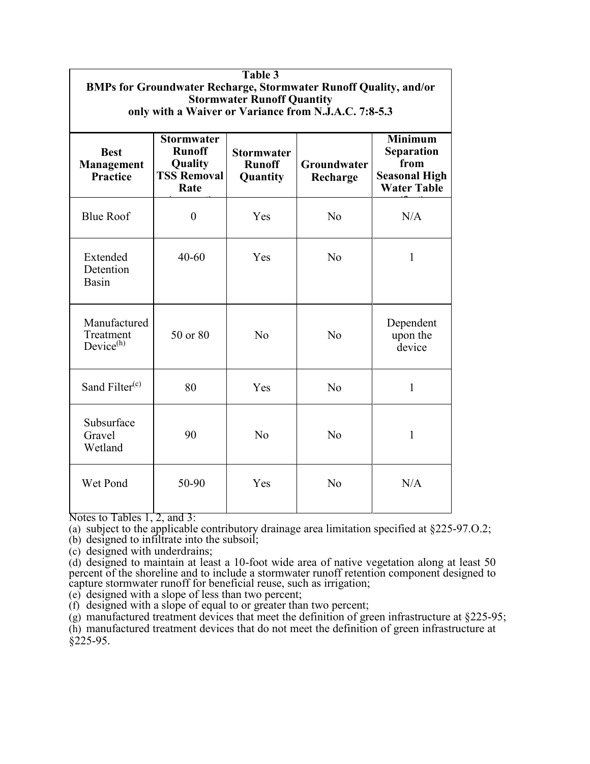| Table 3<br><b>BMPs for Groundwater Recharge, Stormwater Runoff Quality, and/or</b><br><b>Stormwater Runoff Quantity</b><br>only with a Waiver or Variance from N.J.A.C. 7:8-5.3 |                                                                             |                                                |                         |                                                                                    |  |
|---------------------------------------------------------------------------------------------------------------------------------------------------------------------------------|-----------------------------------------------------------------------------|------------------------------------------------|-------------------------|------------------------------------------------------------------------------------|--|
| <b>Best</b><br><b>Management</b><br><b>Practice</b>                                                                                                                             | <b>Stormwater</b><br><b>Runoff</b><br>Quality<br><b>TSS Removal</b><br>Rate | <b>Stormwater</b><br><b>Runoff</b><br>Quantity | Groundwater<br>Recharge | <b>Minimum</b><br>Separation<br>from<br><b>Seasonal High</b><br><b>Water Table</b> |  |
| <b>Blue Roof</b>                                                                                                                                                                | $\overline{0}$                                                              | Yes                                            | N <sub>o</sub>          | N/A                                                                                |  |
| Extended<br>Detention<br>Basin                                                                                                                                                  | $40 - 60$                                                                   | Yes                                            | N <sub>o</sub>          | $\mathbf{1}$                                                                       |  |
| Manufactured<br>Treatment<br>Device <sup>(h)</sup>                                                                                                                              | 50 or 80                                                                    | No                                             | No                      | Dependent<br>upon the<br>device                                                    |  |
| Sand Filter <sup>(c)</sup>                                                                                                                                                      | 80                                                                          | Yes                                            | N <sub>o</sub>          | $\mathbf{1}$                                                                       |  |
| Subsurface<br>Gravel<br>Wetland                                                                                                                                                 | 90                                                                          | No                                             | N <sub>o</sub>          | 1                                                                                  |  |
| Wet Pond                                                                                                                                                                        | 50-90                                                                       | Yes                                            | N <sub>o</sub>          | N/A                                                                                |  |

Notes to Tables 1, 2, and 3:

(a) subject to the applicable contributory drainage area limitation specified at §225-97.0.2;

(b) designed to infiltrate into the subsoil;

(c) designed with underdrains;

(d) designed to maintain at least a 10-foot wide area of native vegetation along at least 50 percent of the shoreline and to include a stormwater runoff retention component designed to capture stormwater runoff for beneficial reuse, such as irrigation;

(e) designed with a slope of less than two percent;

(f) designed with a slope of equal to or greater than two percent;

(g) manufactured treatment devices that meet the definition of green infrastructure at §225-95;

(h) manufactured treatment devices that do not meet the definition of green infrastructure at §225-95.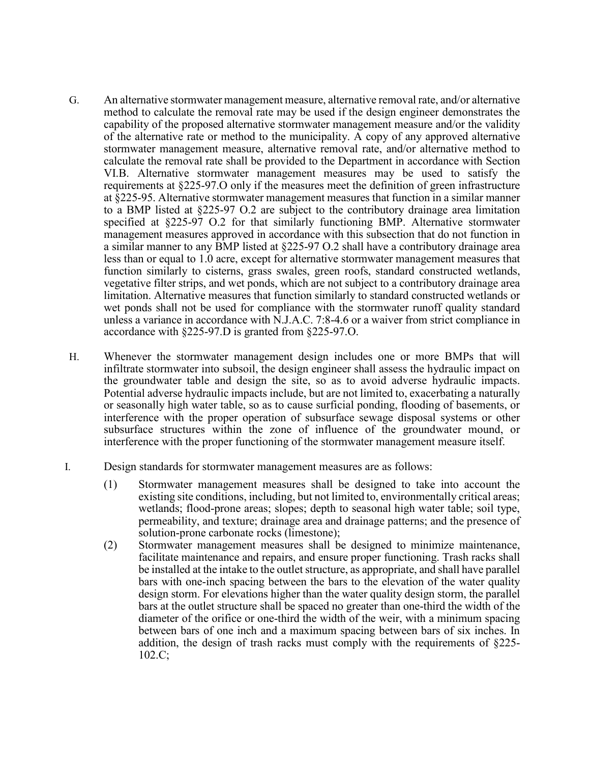- G. An alternative stormwater management measure, alternative removal rate, and/or alternative method to calculate the removal rate may be used if the design engineer demonstrates the capability of the proposed alternative stormwater management measure and/or the validity of the alternative rate or method to the municipality. A copy of any approved alternative stormwater management measure, alternative removal rate, and/or alternative method to calculate the removal rate shall be provided to the Department in accordance with Section VI.B. Alternative stormwater management measures may be used to satisfy the requirements at §225-97.O only if the measures meet the definition of green infrastructure at §225-95. Alternative stormwater management measures that function in a similar manner to a BMP listed at §225-97 O.2 are subject to the contributory drainage area limitation specified at §225-97 O.2 for that similarly functioning BMP. Alternative stormwater management measures approved in accordance with this subsection that do not function in a similar manner to any BMP listed at §225-97 O.2 shall have a contributory drainage area less than or equal to 1.0 acre, except for alternative stormwater management measures that function similarly to cisterns, grass swales, green roofs, standard constructed wetlands, vegetative filter strips, and wet ponds, which are not subject to a contributory drainage area limitation. Alternative measures that function similarly to standard constructed wetlands or wet ponds shall not be used for compliance with the stormwater runoff quality standard unless a variance in accordance with N.J.A.C. 7:8-4.6 or a waiver from strict compliance in accordance with §225-97.D is granted from §225-97.O.
- H. Whenever the stormwater management design includes one or more BMPs that will infiltrate stormwater into subsoil, the design engineer shall assess the hydraulic impact on the groundwater table and design the site, so as to avoid adverse hydraulic impacts. Potential adverse hydraulic impacts include, but are not limited to, exacerbating a naturally or seasonally high water table, so as to cause surficial ponding, flooding of basements, or interference with the proper operation of subsurface sewage disposal systems or other subsurface structures within the zone of influence of the groundwater mound, or interference with the proper functioning of the stormwater management measure itself.
- I. Design standards for stormwater management measures are as follows:
	- (1) Stormwater management measures shall be designed to take into account the existing site conditions, including, but not limited to, environmentally critical areas; wetlands; flood-prone areas; slopes; depth to seasonal high water table; soil type, permeability, and texture; drainage area and drainage patterns; and the presence of solution-prone carbonate rocks (limestone);
	- (2) Stormwater management measures shall be designed to minimize maintenance, facilitate maintenance and repairs, and ensure proper functioning. Trash racks shall be installed at the intake to the outlet structure, as appropriate, and shall have parallel bars with one-inch spacing between the bars to the elevation of the water quality design storm. For elevations higher than the water quality design storm, the parallel bars at the outlet structure shall be spaced no greater than one-third the width of the diameter of the orifice or one-third the width of the weir, with a minimum spacing between bars of one inch and a maximum spacing between bars of six inches. In addition, the design of trash racks must comply with the requirements of §225- 102.C;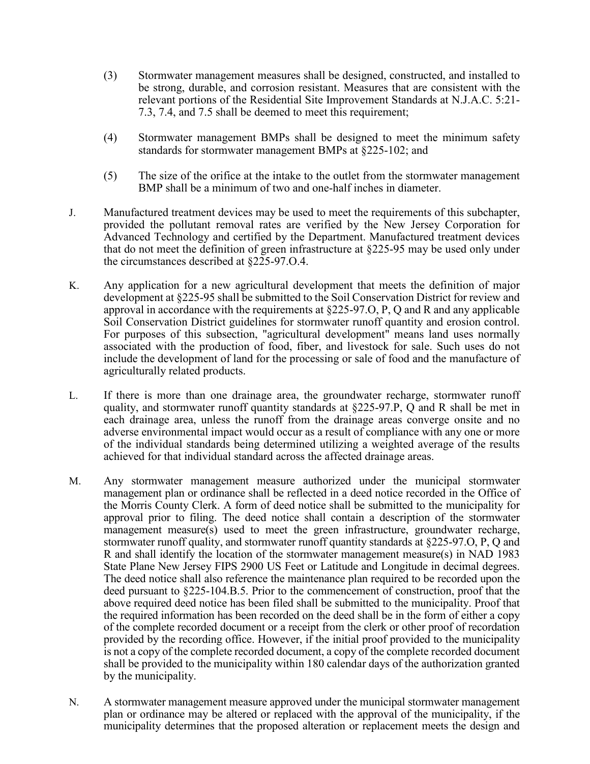- (3) Stormwater management measures shall be designed, constructed, and installed to be strong, durable, and corrosion resistant. Measures that are consistent with the relevant portions of the Residential Site Improvement Standards at N.J.A.C. 5:21- 7.3, 7.4, and 7.5 shall be deemed to meet this requirement;
- (4) Stormwater management BMPs shall be designed to meet the minimum safety standards for stormwater management BMPs at §225-102; and
- (5) The size of the orifice at the intake to the outlet from the stormwater management BMP shall be a minimum of two and one-half inches in diameter.
- J. Manufactured treatment devices may be used to meet the requirements of this subchapter, provided the pollutant removal rates are verified by the New Jersey Corporation for Advanced Technology and certified by the Department. Manufactured treatment devices that do not meet the definition of green infrastructure at §225-95 may be used only under the circumstances described at §225-97.O.4.
- K. Any application for a new agricultural development that meets the definition of major development at §225-95 shall be submitted to the Soil Conservation District for review and approval in accordance with the requirements at  $\S225-97.$  O, P, O and R and any applicable Soil Conservation District guidelines for stormwater runoff quantity and erosion control. For purposes of this subsection, "agricultural development" means land uses normally associated with the production of food, fiber, and livestock for sale. Such uses do not include the development of land for the processing or sale of food and the manufacture of agriculturally related products.
- L. If there is more than one drainage area, the groundwater recharge, stormwater runoff quality, and stormwater runoff quantity standards at §225-97.P, Q and R shall be met in each drainage area, unless the runoff from the drainage areas converge onsite and no adverse environmental impact would occur as a result of compliance with any one or more of the individual standards being determined utilizing a weighted average of the results achieved for that individual standard across the affected drainage areas.
- M. Any stormwater management measure authorized under the municipal stormwater management plan or ordinance shall be reflected in a deed notice recorded in the Office of the Morris County Clerk. A form of deed notice shall be submitted to the municipality for approval prior to filing. The deed notice shall contain a description of the stormwater management measure(s) used to meet the green infrastructure, groundwater recharge, stormwater runoff quality, and stormwater runoff quantity standards at §225-97.O, P, Q and R and shall identify the location of the stormwater management measure(s) in NAD 1983 State Plane New Jersey FIPS 2900 US Feet or Latitude and Longitude in decimal degrees. The deed notice shall also reference the maintenance plan required to be recorded upon the deed pursuant to §225-104.B.5. Prior to the commencement of construction, proof that the above required deed notice has been filed shall be submitted to the municipality. Proof that the required information has been recorded on the deed shall be in the form of either a copy of the complete recorded document or a receipt from the clerk or other proof of recordation provided by the recording office. However, if the initial proof provided to the municipality is not a copy of the complete recorded document, a copy of the complete recorded document shall be provided to the municipality within 180 calendar days of the authorization granted by the municipality.
- N. A stormwater management measure approved under the municipal stormwater management plan or ordinance may be altered or replaced with the approval of the municipality, if the municipality determines that the proposed alteration or replacement meets the design and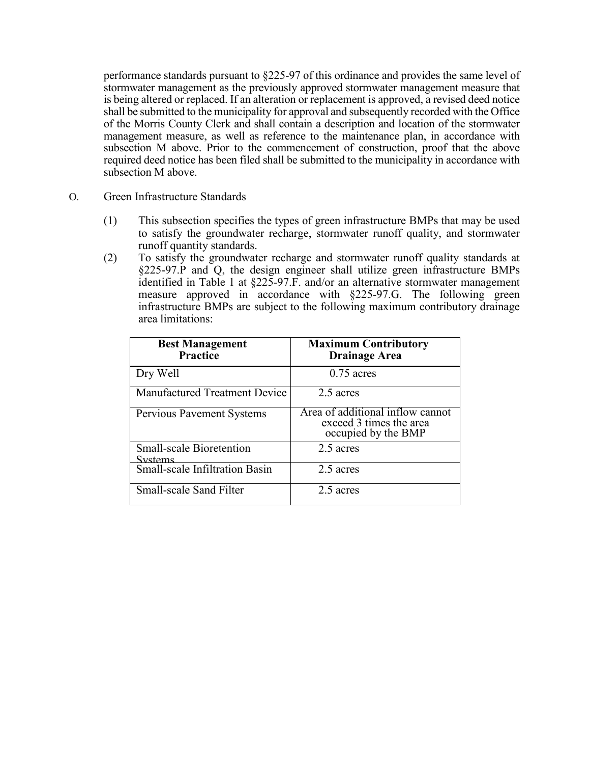performance standards pursuant to §225-97 of this ordinance and provides the same level of stormwater management as the previously approved stormwater management measure that is being altered or replaced. If an alteration or replacement is approved, a revised deed notice shall be submitted to the municipality for approval and subsequently recorded with the Office of the Morris County Clerk and shall contain a description and location of the stormwater management measure, as well as reference to the maintenance plan, in accordance with subsection M above. Prior to the commencement of construction, proof that the above required deed notice has been filed shall be submitted to the municipality in accordance with subsection M above.

- O. Green Infrastructure Standards
	- (1) This subsection specifies the types of green infrastructure BMPs that may be used to satisfy the groundwater recharge, stormwater runoff quality, and stormwater runoff quantity standards.
	- (2) To satisfy the groundwater recharge and stormwater runoff quality standards at §225-97.P and Q, the design engineer shall utilize green infrastructure BMPs identified in Table 1 at §225-97.F. and/or an alternative stormwater management measure approved in accordance with §225-97.G. The following green infrastructure BMPs are subject to the following maximum contributory drainage area limitations:

| <b>Best Management</b><br>Practice         | <b>Maximum Contributory</b><br><b>Drainage Area</b>                                |
|--------------------------------------------|------------------------------------------------------------------------------------|
| Dry Well                                   | $0.75$ acres                                                                       |
| <b>Manufactured Treatment Device</b>       | 2.5 acres                                                                          |
| <b>Pervious Pavement Systems</b>           | Area of additional inflow cannot<br>exceed 3 times the area<br>occupied by the BMP |
| <b>Small-scale Bioretention</b><br>Systems | 2.5 acres                                                                          |
| <b>Small-scale Infiltration Basin</b>      | 2.5 acres                                                                          |
| <b>Small-scale Sand Filter</b>             | 2.5 acres                                                                          |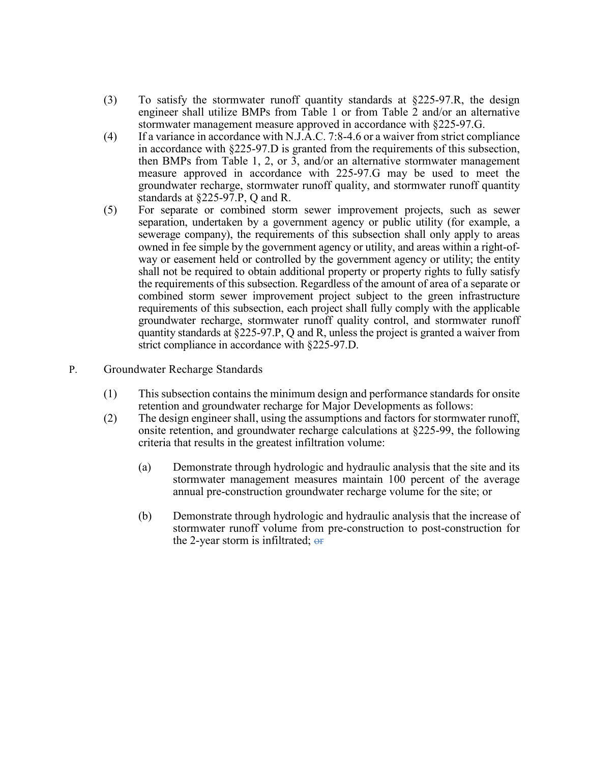- (3) To satisfy the stormwater runoff quantity standards at §225-97.R, the design engineer shall utilize BMPs from Table 1 or from Table 2 and/or an alternative stormwater management measure approved in accordance with §225-97.G.
- (4) If a variance in accordance with N.J.A.C. 7:8-4.6 or a waiver from strict compliance in accordance with §225-97.D is granted from the requirements of this subsection, then BMPs from Table 1, 2, or 3, and/or an alternative stormwater management measure approved in accordance with 225-97.G may be used to meet the groundwater recharge, stormwater runoff quality, and stormwater runoff quantity standards at §225-97.P, Q and R.
- (5) For separate or combined storm sewer improvement projects, such as sewer separation, undertaken by a government agency or public utility (for example, a sewerage company), the requirements of this subsection shall only apply to areas owned in fee simple by the government agency or utility, and areas within a right-ofway or easement held or controlled by the government agency or utility; the entity shall not be required to obtain additional property or property rights to fully satisfy the requirements of this subsection. Regardless of the amount of area of a separate or combined storm sewer improvement project subject to the green infrastructure requirements of this subsection, each project shall fully comply with the applicable groundwater recharge, stormwater runoff quality control, and stormwater runoff quantity standards at §225-97.P, Q and R, unless the project is granted a waiver from strict compliance in accordance with §225-97.D.
- P. Groundwater Recharge Standards
	- (1) This subsection contains the minimum design and performance standards for onsite retention and groundwater recharge for Major Developments as follows:
	- (2) The design engineer shall, using the assumptions and factors for stormwater runoff, onsite retention, and groundwater recharge calculations at §225-99, the following criteria that results in the greatest infiltration volume:
		- (a) Demonstrate through hydrologic and hydraulic analysis that the site and its stormwater management measures maintain 100 percent of the average annual pre-construction groundwater recharge volume for the site; or
		- (b) Demonstrate through hydrologic and hydraulic analysis that the increase of stormwater runoff volume from pre-construction to post-construction for the 2-year storm is infiltrated;  $\Theta$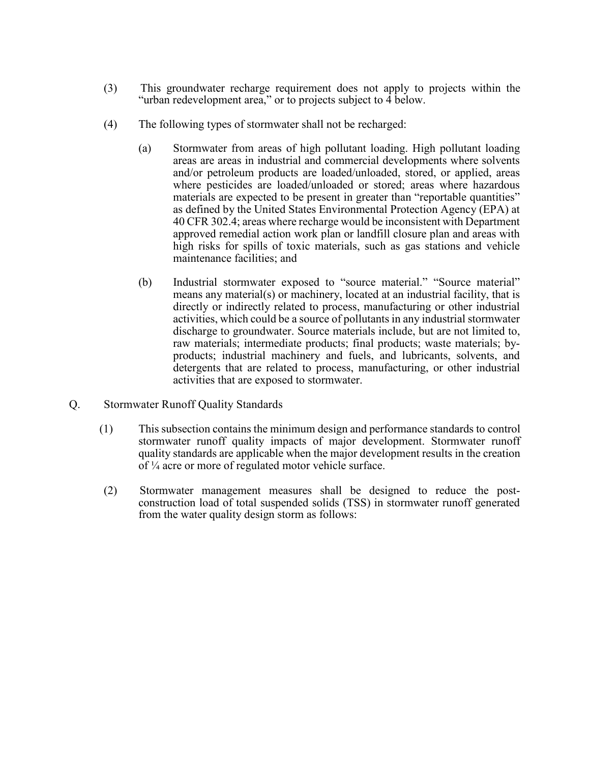- (3) This groundwater recharge requirement does not apply to projects within the "urban redevelopment area," or to projects subject to 4 below.
- (4) The following types of stormwater shall not be recharged:
	- (a) Stormwater from areas of high pollutant loading. High pollutant loading areas are areas in industrial and commercial developments where solvents and/or petroleum products are loaded/unloaded, stored, or applied, areas where pesticides are loaded/unloaded or stored; areas where hazardous materials are expected to be present in greater than "reportable quantities" as defined by the United States Environmental Protection Agency (EPA) at 40 CFR 302.4; areas where recharge would be inconsistent with Department approved remedial action work plan or landfill closure plan and areas with high risks for spills of toxic materials, such as gas stations and vehicle maintenance facilities; and
	- (b) Industrial stormwater exposed to "source material." "Source material" means any material(s) or machinery, located at an industrial facility, that is directly or indirectly related to process, manufacturing or other industrial activities, which could be a source of pollutants in any industrial stormwater discharge to groundwater. Source materials include, but are not limited to, raw materials; intermediate products; final products; waste materials; byproducts; industrial machinery and fuels, and lubricants, solvents, and detergents that are related to process, manufacturing, or other industrial activities that are exposed to stormwater.
- Q. Stormwater Runoff Quality Standards
	- (1) This subsection contains the minimum design and performance standards to control stormwater runoff quality impacts of major development. Stormwater runoff quality standards are applicable when the major development results in the creation of ¼ acre or more of regulated motor vehicle surface.
	- (2) Stormwater management measures shall be designed to reduce the postconstruction load of total suspended solids (TSS) in stormwater runoff generated from the water quality design storm as follows: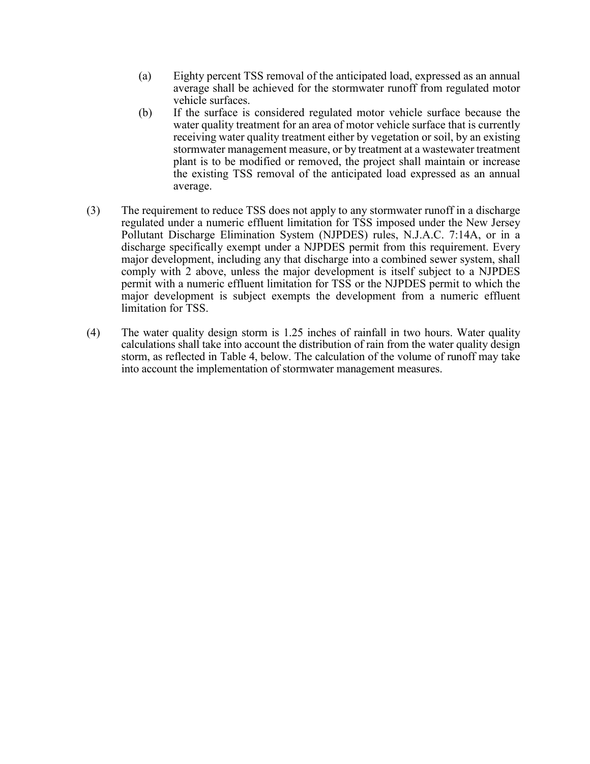- (a) Eighty percent TSS removal of the anticipated load, expressed as an annual average shall be achieved for the stormwater runoff from regulated motor vehicle surfaces.
- (b) If the surface is considered regulated motor vehicle surface because the water quality treatment for an area of motor vehicle surface that is currently receiving water quality treatment either by vegetation or soil, by an existing stormwater management measure, or by treatment at a wastewater treatment plant is to be modified or removed, the project shall maintain or increase the existing TSS removal of the anticipated load expressed as an annual average.
- (3) The requirement to reduce TSS does not apply to any stormwater runoff in a discharge regulated under a numeric effluent limitation for TSS imposed under the New Jersey Pollutant Discharge Elimination System (NJPDES) rules, N.J.A.C. 7:14A, or in a discharge specifically exempt under a NJPDES permit from this requirement. Every major development, including any that discharge into a combined sewer system, shall comply with 2 above, unless the major development is itself subject to a NJPDES permit with a numeric effluent limitation for TSS or the NJPDES permit to which the major development is subject exempts the development from a numeric effluent limitation for TSS.
- (4) The water quality design storm is 1.25 inches of rainfall in two hours. Water quality calculations shall take into account the distribution of rain from the water quality design storm, as reflected in Table 4, below. The calculation of the volume of runoff may take into account the implementation of stormwater management measures.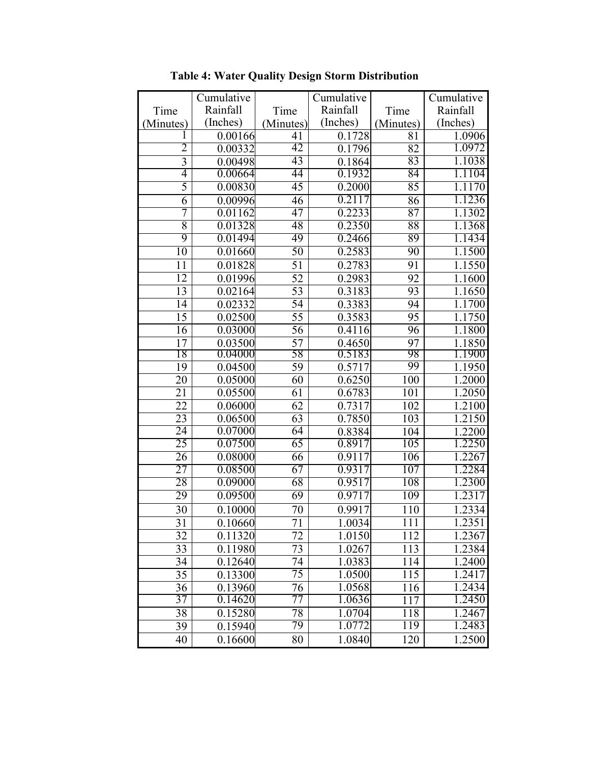|                 | Cumulative |                 | Cumulative |                  | Cumulative          |
|-----------------|------------|-----------------|------------|------------------|---------------------|
| Time            | Rainfall   | Time            | Rainfall   | Time             | Rainfall            |
| (Minutes)       | (Inches)   | (Minutes)       | (Inches)   | (Minutes)        | (Inches)            |
|                 | 0.00166    | 41              | 0.1728     | 81               | 1.0906              |
| 2               | 0.00332    | 42              | 0.1796     | 82               | 1.0972              |
| 3               | 0.00498    | 43              | 0.1864     | 83               | 1.1038              |
| 4               | 0.00664    | 44              | 0.1932     | 84               | 1.1104              |
| 5               | 0.00830    | 45              | 0.2000     | 85               | 1.1170              |
| $\overline{6}$  | 0.00996    | 46              | 0.2117     | 86               | 1.1236              |
| 7               | 0.01162    | 47              | 0.2233     | 87               | 1.1302              |
| 8               | 0.01328    | 48              | 0.2350     | 88               | 1.1368              |
| 9               | 0.01494    | 49              | 0.2466     | 89               | 1.1434              |
| $\overline{10}$ | 0.01660    | 50              | 0.2583     | 90               | 1.1500              |
| 11              | 0.01828    | 51              | 0.2783     | 91               | 1.1550              |
| 12              | 0.01996    | 52              | 0.2983     | 92               | 1.1600              |
| 13              | 0.02164    | 53              | 0.3183     | 93               | 1.1650              |
| 14              | 0.02332    | 54              | 0.3383     | 94               | 1.1700              |
| $\overline{15}$ | 0.02500    | $\overline{55}$ | 0.3583     | 95               | $1.1\overline{750}$ |
| 16              | 0.03000    | 56              | 0.4116     | 96               | 1.1800              |
| 17              | 0.03500    | $\overline{57}$ | 0.4650     | 97               | 1.1850              |
| 18              | 0.04000    | 58              | 0.5183     | 98               | 1.1900              |
| 19              | 0.04500    | 59              | 0.5717     | 99               | $1.\overline{1950}$ |
| 20              | 0.05000    | 60              | 0.6250     | 100              | 1.2000              |
| 21              | 0.05500    | 61              | 0.6783     | 101              | 1.2050              |
| $\overline{22}$ | 0.06000    | 62              | 0.7317     | 102              | 1.2100              |
| 23              | 0.06500    | $\overline{63}$ | 0.7850     | $\overline{103}$ | 1.2150              |
| 24              | 0.07000    | 64              | 0.8384     | 104              | 1.2200              |
| 25              | 0.07500    | 65              | 0.8917     | 105              | 1.2250              |
| 26              | 0.08000    | 66              | 0.9117     | 106              | 1.2267              |
| $\overline{27}$ | 0.08500    | 67              | 0.9317     | 107              | 1.2284              |
| 28              | 0.09000    | 68              | 0.9517     | 108              | 1.2300              |
| 29              | 0.09500    | 69              | 0.9717     | 109              | 1.2317              |
| 30              | 0.10000    | 70              | 0.9917     | 110              | 1.2334              |
| $\overline{31}$ | 0.10660    | 71              | 1.0034     | 111              | 1.2351              |
| 32              | 0.11320    | 72              | 1.0150     | 112              | 1.2367              |
| 33              | 0.11980    | 73              | 1.0267     | 113              | 1.2384              |
| 34              | 0.12640    | 74              | 1.0383     | 114              | 1.2400              |
| 35              | 0.13300    | $\overline{75}$ | 1.0500     | 115              | 1.2417              |
| 36              | 0.13960    | 76              | 1.0568     | 116              | 1.2434              |
| 37              | 0.14620    | 77              | 1.0636     | 117              | 1.2450              |
| 38              | 0.15280    | 78              | 1.0704     | 118              | 1.2467              |
| 39              | 0.15940    | 79              | 1.0772     | 119              | 1.2483              |
| 40              | 0.16600    | 80              | 1.0840     | 120              | 1.2500              |

**Table 4: Water Quality Design Storm Distribution**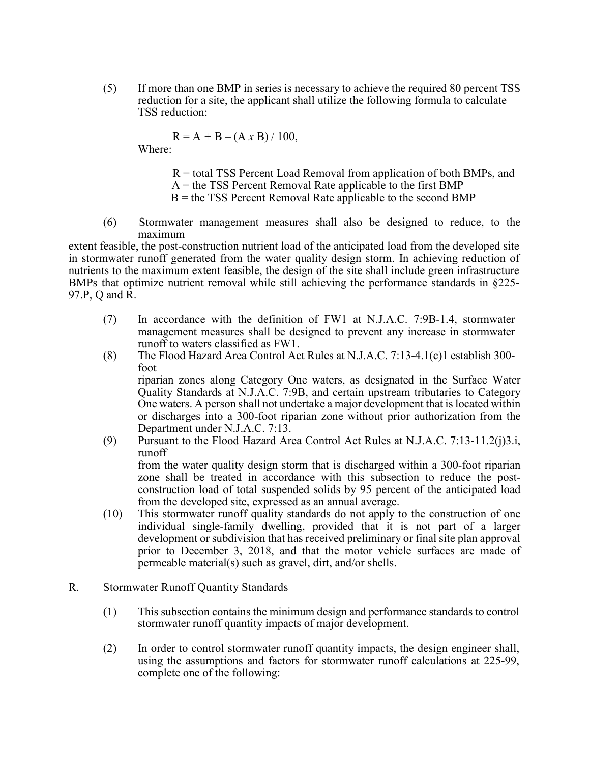(5) If more than one BMP in series is necessary to achieve the required 80 percent TSS reduction for a site, the applicant shall utilize the following formula to calculate TSS reduction:

 $R = A + B - (A \times B) / 100,$ 

Where:

R = total TSS Percent Load Removal from application of both BMPs, and  $A =$  the TSS Percent Removal Rate applicable to the first BMP  $B =$  the TSS Percent Removal Rate applicable to the second BMP

(6) Stormwater management measures shall also be designed to reduce, to the maximum

extent feasible, the post-construction nutrient load of the anticipated load from the developed site in stormwater runoff generated from the water quality design storm. In achieving reduction of nutrients to the maximum extent feasible, the design of the site shall include green infrastructure BMPs that optimize nutrient removal while still achieving the performance standards in §225- 97.P, Q and R.

- (7) In accordance with the definition of FW1 at N.J.A.C. 7:9B-1.4, stormwater management measures shall be designed to prevent any increase in stormwater runoff to waters classified as FW1.
- (8) The Flood Hazard Area Control Act Rules at N.J.A.C. 7:13-4.1(c)1 establish 300 foot

riparian zones along Category One waters, as designated in the Surface Water Quality Standards at N.J.A.C. 7:9B, and certain upstream tributaries to Category One waters. A person shall not undertake a major development that is located within or discharges into a 300-foot riparian zone without prior authorization from the Department under N.J.A.C. 7:13.

- (9) Pursuant to the Flood Hazard Area Control Act Rules at N.J.A.C. 7:13-11.2(j)3.i, runoff from the water quality design storm that is discharged within a 300-foot riparian zone shall be treated in accordance with this subsection to reduce the postconstruction load of total suspended solids by 95 percent of the anticipated load from the developed site, expressed as an annual average.
- (10) This stormwater runoff quality standards do not apply to the construction of one individual single-family dwelling, provided that it is not part of a larger development or subdivision that has received preliminary or final site plan approval prior to December 3, 2018, and that the motor vehicle surfaces are made of permeable material(s) such as gravel, dirt, and/or shells.
- R. Stormwater Runoff Quantity Standards
	- (1) This subsection contains the minimum design and performance standards to control stormwater runoff quantity impacts of major development.
	- (2) In order to control stormwater runoff quantity impacts, the design engineer shall, using the assumptions and factors for stormwater runoff calculations at 225-99, complete one of the following: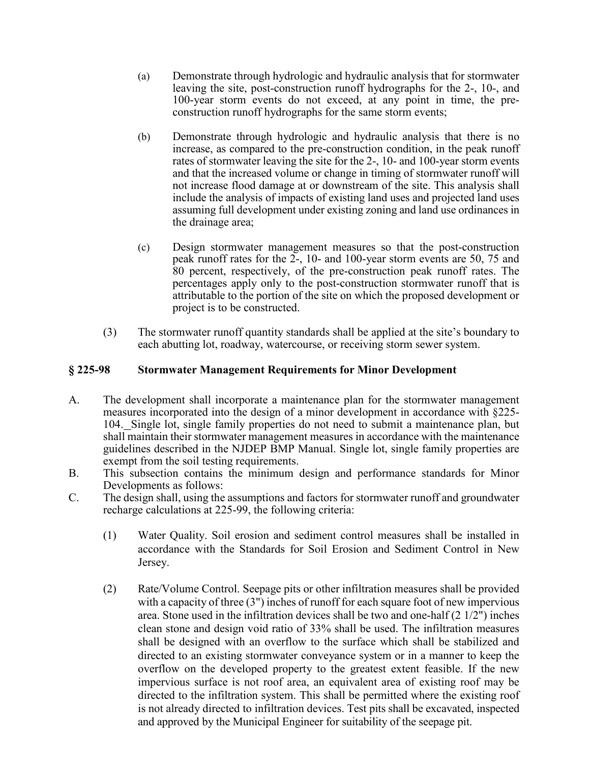- (a) Demonstrate through hydrologic and hydraulic analysis that for stormwater leaving the site, post-construction runoff hydrographs for the 2-, 10-, and 100-year storm events do not exceed, at any point in time, the preconstruction runoff hydrographs for the same storm events;
- (b) Demonstrate through hydrologic and hydraulic analysis that there is no increase, as compared to the pre-construction condition, in the peak runoff rates of stormwater leaving the site for the 2-, 10- and 100-year storm events and that the increased volume or change in timing of stormwater runoff will not increase flood damage at or downstream of the site. This analysis shall include the analysis of impacts of existing land uses and projected land uses assuming full development under existing zoning and land use ordinances in the drainage area;
- (c) Design stormwater management measures so that the post-construction peak runoff rates for the 2-, 10- and 100-year storm events are 50, 75 and 80 percent, respectively, of the pre-construction peak runoff rates. The percentages apply only to the post-construction stormwater runoff that is attributable to the portion of the site on which the proposed development or project is to be constructed.
- (3) The stormwater runoff quantity standards shall be applied at the site's boundary to each abutting lot, roadway, watercourse, or receiving storm sewer system.

### **§ 225-98 Stormwater Management Requirements for Minor Development**

- A. The development shall incorporate a maintenance plan for the stormwater management measures incorporated into the design of a minor development in accordance with §225- 104. Single lot, single family properties do not need to submit a maintenance plan, but shall maintain their stormwater management measures in accordance with the maintenance guidelines described in the NJDEP BMP Manual. Single lot, single family properties are exempt from the soil testing requirements.
- B. This subsection contains the minimum design and performance standards for Minor Developments as follows:
- C. The design shall, using the assumptions and factors for stormwater runoff and groundwater recharge calculations at 225-99, the following criteria:
	- (1) Water Quality. Soil erosion and sediment control measures shall be installed in accordance with the Standards for Soil Erosion and Sediment Control in New Jersey.
	- (2) Rate/Volume Control. Seepage pits or other infiltration measures shall be provided with a capacity of three (3") inches of runoff for each square foot of new impervious area. Stone used in the infiltration devices shall be two and one-half (2 1/2") inches clean stone and design void ratio of 33% shall be used. The infiltration measures shall be designed with an overflow to the surface which shall be stabilized and directed to an existing stormwater conveyance system or in a manner to keep the overflow on the developed property to the greatest extent feasible. If the new impervious surface is not roof area, an equivalent area of existing roof may be directed to the infiltration system. This shall be permitted where the existing roof is not already directed to infiltration devices. Test pits shall be excavated, inspected and approved by the Municipal Engineer for suitability of the seepage pit.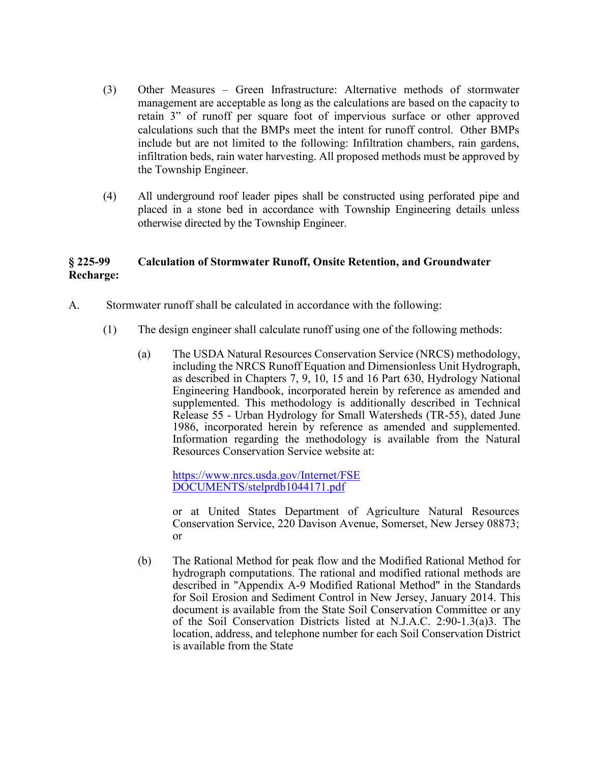- (3) Other Measures Green Infrastructure: Alternative methods of stormwater management are acceptable as long as the calculations are based on the capacity to retain 3" of runoff per square foot of impervious surface or other approved calculations such that the BMPs meet the intent for runoff control. Other BMPs include but are not limited to the following: Infiltration chambers, rain gardens, infiltration beds, rain water harvesting. All proposed methods must be approved by the Township Engineer.
- (4) All underground roof leader pipes shall be constructed using perforated pipe and placed in a stone bed in accordance with Township Engineering details unless otherwise directed by the Township Engineer.

# **§ 225-99 Calculation of Stormwater Runoff, Onsite Retention, and Groundwater Recharge:**

- A. Stormwater runoff shall be calculated in accordance with the following:
	- (1) The design engineer shall calculate runoff using one of the following methods:
		- (a) The USDA Natural Resources Conservation Service (NRCS) methodology, including the NRCS Runoff Equation and Dimensionless Unit Hydrograph, as described in Chapters 7, 9, 10, 15 and 16 Part 630, Hydrology National Engineering Handbook, incorporated herein by reference as amended and supplemented. This methodology is additionally described in Technical Release 55 - Urban Hydrology for Small Watersheds (TR-55), dated June 1986, incorporated herein by reference as amended and supplemented. Information regarding the methodology is available from the Natural Resources Conservation Service website at:

[https://www.nrcs.usda.gov/Internet/FSE](https://www.nrcs.usda.gov/Internet/FSE_DOCUMENTS/stelprdb1044171.pdf)  [DOCUMENTS/stelprdb1044171.pdf](https://www.nrcs.usda.gov/Internet/FSE_DOCUMENTS/stelprdb1044171.pdf)

or at United States Department of Agriculture Natural Resources Conservation Service, 220 Davison Avenue, Somerset, New Jersey 08873; or

(b) The Rational Method for peak flow and the Modified Rational Method for hydrograph computations. The rational and modified rational methods are described in "Appendix A-9 Modified Rational Method" in the Standards for Soil Erosion and Sediment Control in New Jersey, January 2014. This document is available from the State Soil Conservation Committee or any of the Soil Conservation Districts listed at N.J.A.C. 2:90-1.3(a)3. The location, address, and telephone number for each Soil Conservation District is available from the State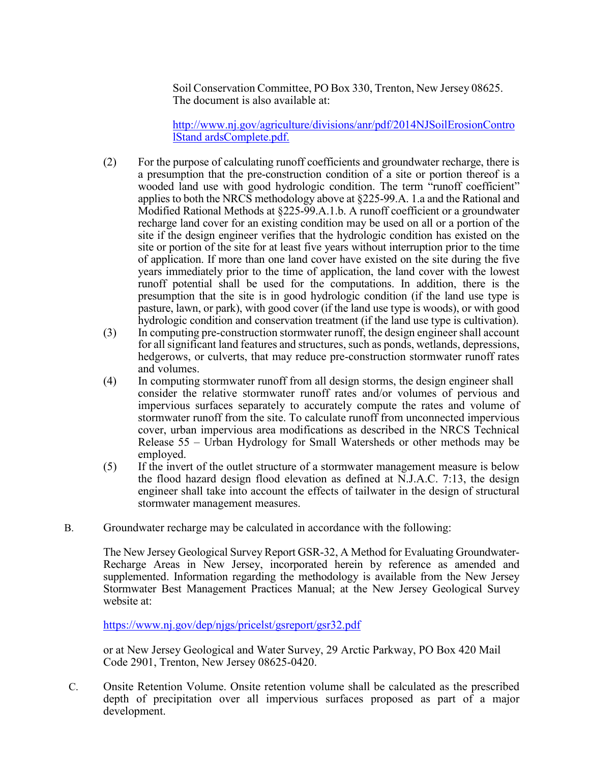Soil Conservation Committee, PO Box 330, Trenton, New Jersey 08625. The document is also available at:

[http://www.nj.gov/agriculture/divisions/anr/pdf/2014NJSoilErosionContro](http://www.nj.gov/agriculture/divisions/anr/pdf/2014NJSoilErosionControlStandardsComplete.pdf) [lStand ardsComplete.pdf.](http://www.nj.gov/agriculture/divisions/anr/pdf/2014NJSoilErosionControlStandardsComplete.pdf)

- (2) For the purpose of calculating runoff coefficients and groundwater recharge, there is a presumption that the pre-construction condition of a site or portion thereof is a wooded land use with good hydrologic condition. The term "runoff coefficient" applies to both the NRCS methodology above at §225-99.A. 1.a and the Rational and Modified Rational Methods at §225-99.A.1.b. A runoff coefficient or a groundwater recharge land cover for an existing condition may be used on all or a portion of the site if the design engineer verifies that the hydrologic condition has existed on the site or portion of the site for at least five years without interruption prior to the time of application. If more than one land cover have existed on the site during the five years immediately prior to the time of application, the land cover with the lowest runoff potential shall be used for the computations. In addition, there is the presumption that the site is in good hydrologic condition (if the land use type is pasture, lawn, or park), with good cover (if the land use type is woods), or with good hydrologic condition and conservation treatment (if the land use type is cultivation).
- (3) In computing pre-construction stormwater runoff, the design engineer shall account for all significant land features and structures, such as ponds, wetlands, depressions, hedgerows, or culverts, that may reduce pre-construction stormwater runoff rates and volumes.
- (4) In computing stormwater runoff from all design storms, the design engineer shall consider the relative stormwater runoff rates and/or volumes of pervious and impervious surfaces separately to accurately compute the rates and volume of stormwater runoff from the site. To calculate runoff from unconnected impervious cover, urban impervious area modifications as described in the NRCS Technical Release 55 – Urban Hydrology for Small Watersheds or other methods may be employed.
- (5) If the invert of the outlet structure of a stormwater management measure is below the flood hazard design flood elevation as defined at N.J.A.C. 7:13, the design engineer shall take into account the effects of tailwater in the design of structural stormwater management measures.
- B. Groundwater recharge may be calculated in accordance with the following:

The New Jersey Geological Survey Report GSR-32, A Method for Evaluating Groundwater-Recharge Areas in New Jersey, incorporated herein by reference as amended and supplemented. Information regarding the methodology is available from the New Jersey Stormwater Best Management Practices Manual; at the New Jersey Geological Survey website at:

<https://www.nj.gov/dep/njgs/pricelst/gsreport/gsr32.pdf>

or at New Jersey Geological and Water Survey, 29 Arctic Parkway, PO Box 420 Mail Code 2901, Trenton, New Jersey 08625-0420.

C. Onsite Retention Volume. Onsite retention volume shall be calculated as the prescribed depth of precipitation over all impervious surfaces proposed as part of a major development.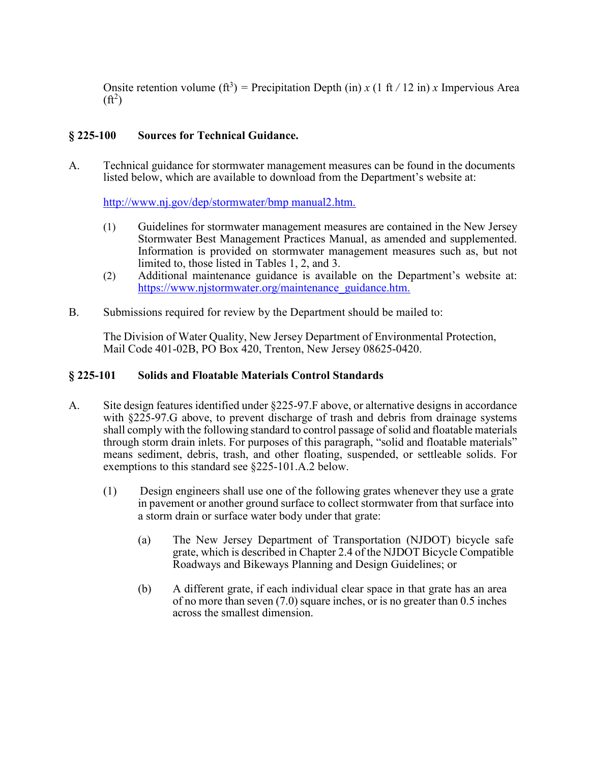Onsite retention volume  $(f_t^3)$  = Precipitation Depth (in) *x* (1 ft / 12 in) *x* Impervious Area  $(\mathrm{ft}^2)$ 

## **§ 225-100 Sources for Technical Guidance.**

A. Technical guidance for stormwater management measures can be found in the documents listed below, which are available to download from the Department's website at:

[http://www.nj.gov/dep/stormwater/bmp manual2.htm.](http://www.nj.gov/dep/stormwater/bmp_manual2.htm)

- (1) Guidelines for stormwater management measures are contained in the New Jersey Stormwater Best Management Practices Manual, as amended and supplemented. Information is provided on stormwater management measures such as, but not limited to, those listed in Tables 1, 2, and 3.
- (2) Additional maintenance guidance is available on the Department's website at: [https://www.njstormwater.org/maintenance\\_guidance.htm.](https://www.njstormwater.org/maintenance_guidance.htm)
- B. Submissions required for review by the Department should be mailed to:

The Division of Water Quality, New Jersey Department of Environmental Protection, Mail Code 401-02B, PO Box 420, Trenton, New Jersey 08625-0420.

#### **§ 225-101 Solids and Floatable Materials Control Standards**

- A. Site design features identified under §225-97.F above, or alternative designs in accordance with §225-97.G above, to prevent discharge of trash and debris from drainage systems shall comply with the following standard to control passage of solid and floatable materials through storm drain inlets. For purposes of this paragraph, "solid and floatable materials" means sediment, debris, trash, and other floating, suspended, or settleable solids. For exemptions to this standard see §225-101.A.2 below.
	- (1) Design engineers shall use one of the following grates whenever they use a grate in pavement or another ground surface to collect stormwater from that surface into a storm drain or surface water body under that grate:
		- (a) The New Jersey Department of Transportation (NJDOT) bicycle safe grate, which is described in Chapter 2.4 of the NJDOT Bicycle Compatible Roadways and Bikeways Planning and Design Guidelines; or
		- (b) A different grate, if each individual clear space in that grate has an area of no more than seven (7.0) square inches, or is no greater than 0.5 inches across the smallest dimension.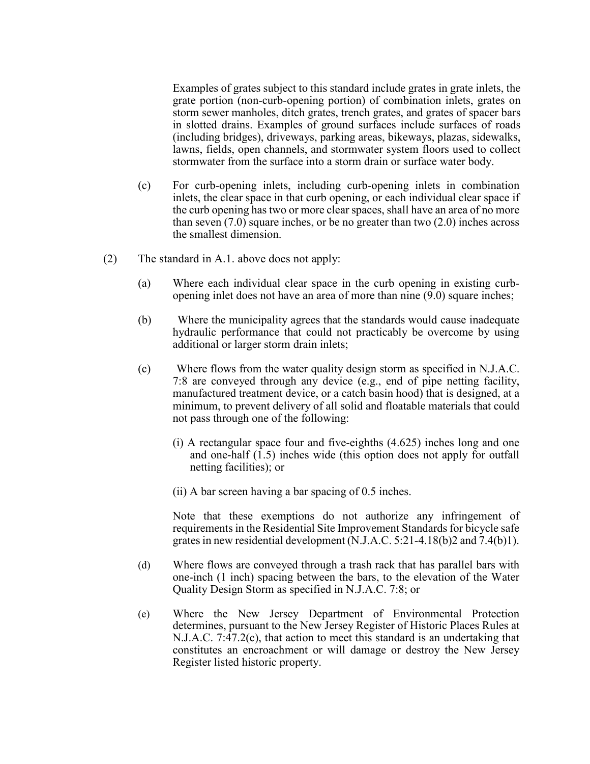Examples of grates subject to this standard include grates in grate inlets, the grate portion (non-curb-opening portion) of combination inlets, grates on storm sewer manholes, ditch grates, trench grates, and grates of spacer bars in slotted drains. Examples of ground surfaces include surfaces of roads (including bridges), driveways, parking areas, bikeways, plazas, sidewalks, lawns, fields, open channels, and stormwater system floors used to collect stormwater from the surface into a storm drain or surface water body.

- (c) For curb-opening inlets, including curb-opening inlets in combination inlets, the clear space in that curb opening, or each individual clear space if the curb opening has two or more clear spaces, shall have an area of no more than seven (7.0) square inches, or be no greater than two (2.0) inches across the smallest dimension.
- (2) The standard in A.1. above does not apply:
	- (a) Where each individual clear space in the curb opening in existing curbopening inlet does not have an area of more than nine (9.0) square inches;
	- (b) Where the municipality agrees that the standards would cause inadequate hydraulic performance that could not practicably be overcome by using additional or larger storm drain inlets;
	- (c) Where flows from the water quality design storm as specified in N.J.A.C. 7:8 are conveyed through any device (e.g., end of pipe netting facility, manufactured treatment device, or a catch basin hood) that is designed, at a minimum, to prevent delivery of all solid and floatable materials that could not pass through one of the following:
		- (i) A rectangular space four and five-eighths (4.625) inches long and one and one-half (1.5) inches wide (this option does not apply for outfall netting facilities); or
		- (ii) A bar screen having a bar spacing of 0.5 inches.

Note that these exemptions do not authorize any infringement of requirements in the Residential Site Improvement Standards for bicycle safe grates in new residential development (N.J.A.C. 5:21-4.18(b)2 and 7.4(b)1).

- (d) Where flows are conveyed through a trash rack that has parallel bars with one-inch (1 inch) spacing between the bars, to the elevation of the Water Quality Design Storm as specified in N.J.A.C. 7:8; or
- (e) Where the New Jersey Department of Environmental Protection determines, pursuant to the New Jersey Register of Historic Places Rules at N.J.A.C. 7:47.2(c), that action to meet this standard is an undertaking that constitutes an encroachment or will damage or destroy the New Jersey Register listed historic property.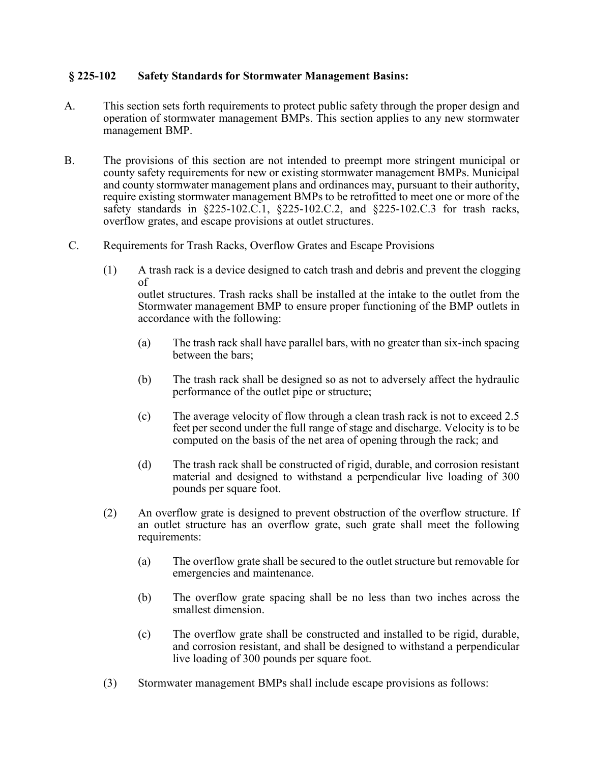#### **§ 225-102 Safety Standards for Stormwater Management Basins:**

- A. This section sets forth requirements to protect public safety through the proper design and operation of stormwater management BMPs. This section applies to any new stormwater management BMP.
- B. The provisions of this section are not intended to preempt more stringent municipal or county safety requirements for new or existing stormwater management BMPs. Municipal and county stormwater management plans and ordinances may, pursuant to their authority, require existing stormwater management BMPs to be retrofitted to meet one or more of the safety standards in §225-102.C.1, §225-102.C.2, and §225-102.C.3 for trash racks, overflow grates, and escape provisions at outlet structures.
- C. Requirements for Trash Racks, Overflow Grates and Escape Provisions
	- (1) A trash rack is a device designed to catch trash and debris and prevent the clogging of outlet structures. Trash racks shall be installed at the intake to the outlet from the Stormwater management BMP to ensure proper functioning of the BMP outlets in accordance with the following:
		- (a) The trash rack shall have parallel bars, with no greater than six-inch spacing between the bars;
		- (b) The trash rack shall be designed so as not to adversely affect the hydraulic performance of the outlet pipe or structure;
		- (c) The average velocity of flow through a clean trash rack is not to exceed 2.5 feet per second under the full range of stage and discharge. Velocity is to be computed on the basis of the net area of opening through the rack; and
		- (d) The trash rack shall be constructed of rigid, durable, and corrosion resistant material and designed to withstand a perpendicular live loading of 300 pounds per square foot.
	- (2) An overflow grate is designed to prevent obstruction of the overflow structure. If an outlet structure has an overflow grate, such grate shall meet the following requirements:
		- (a) The overflow grate shall be secured to the outlet structure but removable for emergencies and maintenance.
		- (b) The overflow grate spacing shall be no less than two inches across the smallest dimension.
		- (c) The overflow grate shall be constructed and installed to be rigid, durable, and corrosion resistant, and shall be designed to withstand a perpendicular live loading of 300 pounds per square foot.
	- (3) Stormwater management BMPs shall include escape provisions as follows: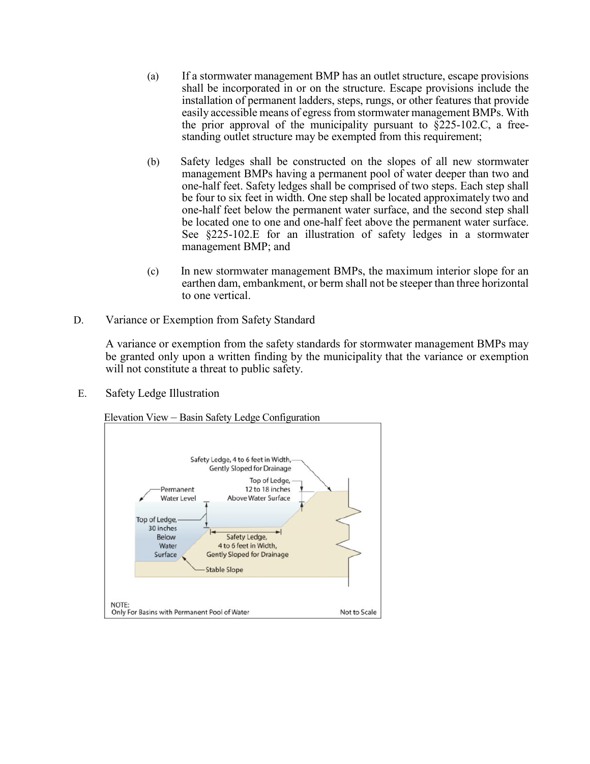- (a) If a stormwater management BMP has an outlet structure, escape provisions shall be incorporated in or on the structure. Escape provisions include the installation of permanent ladders, steps, rungs, or other features that provide easily accessible means of egress from stormwater management BMPs. With the prior approval of the municipality pursuant to  $\S$ 225-102.C, a freestanding outlet structure may be exempted from this requirement;
- (b) Safety ledges shall be constructed on the slopes of all new stormwater management BMPs having a permanent pool of water deeper than two and one-half feet. Safety ledges shall be comprised of two steps. Each step shall be four to six feet in width. One step shall be located approximately two and one-half feet below the permanent water surface, and the second step shall be located one to one and one-half feet above the permanent water surface. See §225-102.E for an illustration of safety ledges in a stormwater management BMP; and
- (c) In new stormwater management BMPs, the maximum interior slope for an earthen dam, embankment, or berm shall not be steeper than three horizontal to one vertical.
- D. Variance or Exemption from Safety Standard

A variance or exemption from the safety standards for stormwater management BMPs may be granted only upon a written finding by the municipality that the variance or exemption will not constitute a threat to public safety.

E. Safety Ledge Illustration

Elevation View – Basin Safety Ledge Configuration

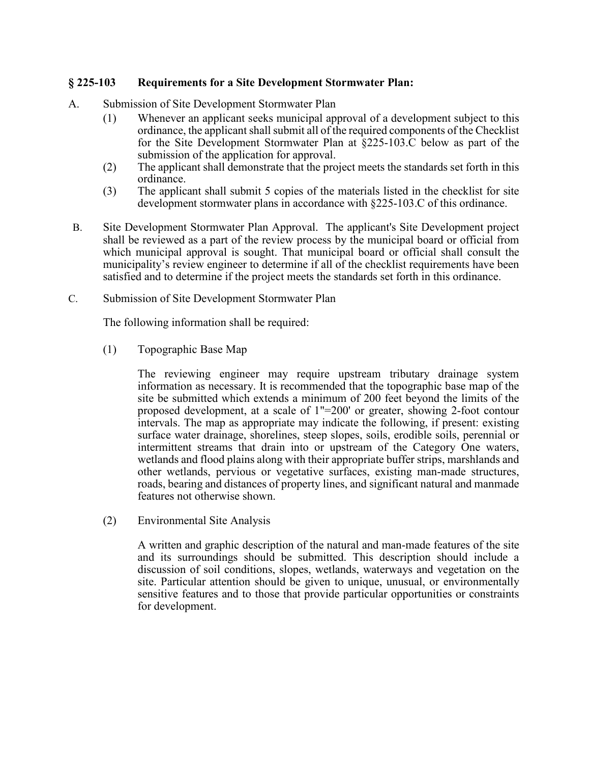### **§ 225-103 Requirements for a Site Development Stormwater Plan:**

- A. Submission of Site Development Stormwater Plan
	- (1) Whenever an applicant seeks municipal approval of a development subject to this ordinance, the applicant shall submit all of the required components of the Checklist for the Site Development Stormwater Plan at §225-103.C below as part of the submission of the application for approval.
	- (2) The applicant shall demonstrate that the project meets the standards set forth in this ordinance.
	- (3) The applicant shall submit 5 copies of the materials listed in the checklist for site development stormwater plans in accordance with §225-103.C of this ordinance.
- B. Site Development Stormwater Plan Approval. The applicant's Site Development project shall be reviewed as a part of the review process by the municipal board or official from which municipal approval is sought. That municipal board or official shall consult the municipality's review engineer to determine if all of the checklist requirements have been satisfied and to determine if the project meets the standards set forth in this ordinance.
- C. Submission of Site Development Stormwater Plan

The following information shall be required:

(1) Topographic Base Map

The reviewing engineer may require upstream tributary drainage system information as necessary. It is recommended that the topographic base map of the site be submitted which extends a minimum of 200 feet beyond the limits of the proposed development, at a scale of 1"=200' or greater, showing 2-foot contour intervals. The map as appropriate may indicate the following, if present: existing surface water drainage, shorelines, steep slopes, soils, erodible soils, perennial or intermittent streams that drain into or upstream of the Category One waters, wetlands and flood plains along with their appropriate buffer strips, marshlands and other wetlands, pervious or vegetative surfaces, existing man-made structures, roads, bearing and distances of property lines, and significant natural and manmade features not otherwise shown.

(2) Environmental Site Analysis

A written and graphic description of the natural and man-made features of the site and its surroundings should be submitted. This description should include a discussion of soil conditions, slopes, wetlands, waterways and vegetation on the site. Particular attention should be given to unique, unusual, or environmentally sensitive features and to those that provide particular opportunities or constraints for development.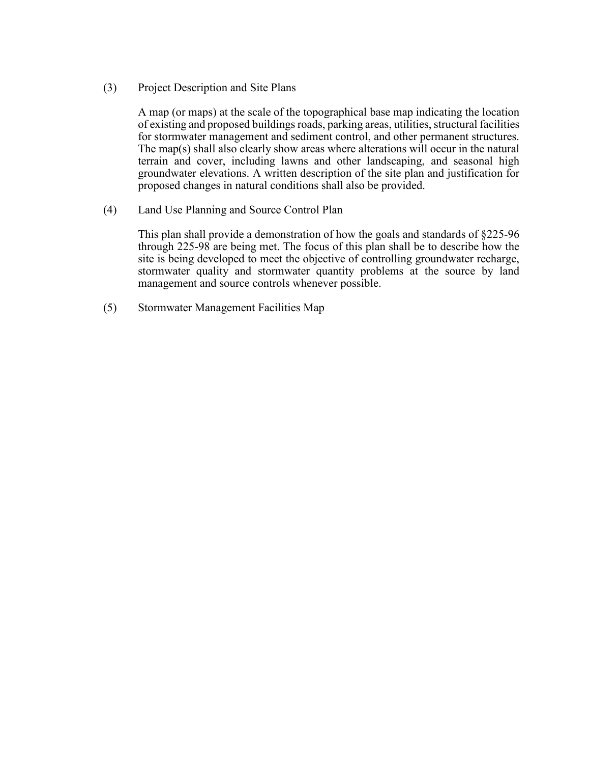(3) Project Description and Site Plans

A map (or maps) at the scale of the topographical base map indicating the location of existing and proposed buildings roads, parking areas, utilities, structural facilities for stormwater management and sediment control, and other permanent structures. The map(s) shall also clearly show areas where alterations will occur in the natural terrain and cover, including lawns and other landscaping, and seasonal high groundwater elevations. A written description of the site plan and justification for proposed changes in natural conditions shall also be provided.

(4) Land Use Planning and Source Control Plan

This plan shall provide a demonstration of how the goals and standards of §225-96 through 225-98 are being met. The focus of this plan shall be to describe how the site is being developed to meet the objective of controlling groundwater recharge, stormwater quality and stormwater quantity problems at the source by land management and source controls whenever possible.

(5) Stormwater Management Facilities Map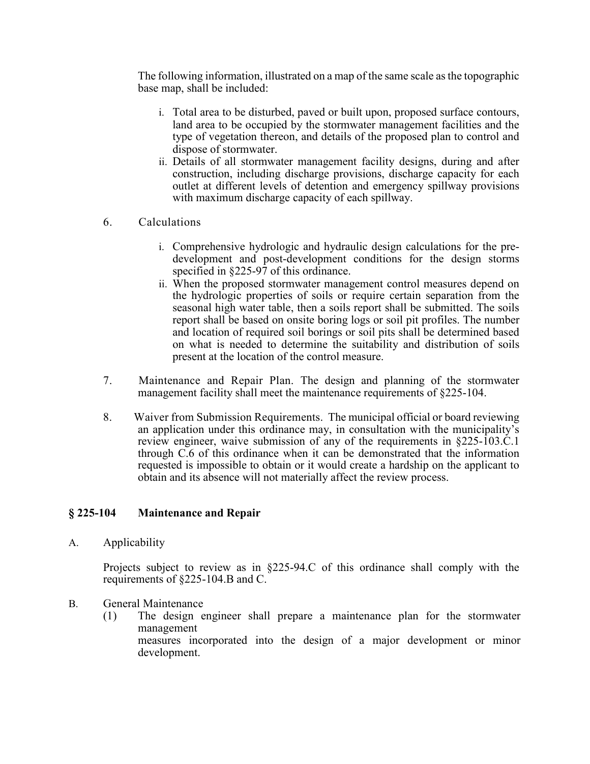The following information, illustrated on a map of the same scale as the topographic base map, shall be included:

- i. Total area to be disturbed, paved or built upon, proposed surface contours, land area to be occupied by the stormwater management facilities and the type of vegetation thereon, and details of the proposed plan to control and dispose of stormwater.
- ii. Details of all stormwater management facility designs, during and after construction, including discharge provisions, discharge capacity for each outlet at different levels of detention and emergency spillway provisions with maximum discharge capacity of each spillway.
- 6. Calculations
	- i. Comprehensive hydrologic and hydraulic design calculations for the predevelopment and post-development conditions for the design storms specified in §225-97 of this ordinance.
	- ii. When the proposed stormwater management control measures depend on the hydrologic properties of soils or require certain separation from the seasonal high water table, then a soils report shall be submitted. The soils report shall be based on onsite boring logs or soil pit profiles. The number and location of required soil borings or soil pits shall be determined based on what is needed to determine the suitability and distribution of soils present at the location of the control measure.
- 7. Maintenance and Repair Plan. The design and planning of the stormwater management facility shall meet the maintenance requirements of §225-104.
- 8. Waiver from Submission Requirements. The municipal official or board reviewing an application under this ordinance may, in consultation with the municipality's review engineer, waive submission of any of the requirements in §225-103.C.1 through C.6 of this ordinance when it can be demonstrated that the information requested is impossible to obtain or it would create a hardship on the applicant to obtain and its absence will not materially affect the review process.

### **§ 225-104 Maintenance and Repair**

A. Applicability

Projects subject to review as in §225-94.C of this ordinance shall comply with the requirements of §225-104.B and C.

- B. General Maintenance
	- (1) The design engineer shall prepare a maintenance plan for the stormwater management measures incorporated into the design of a major development or minor development.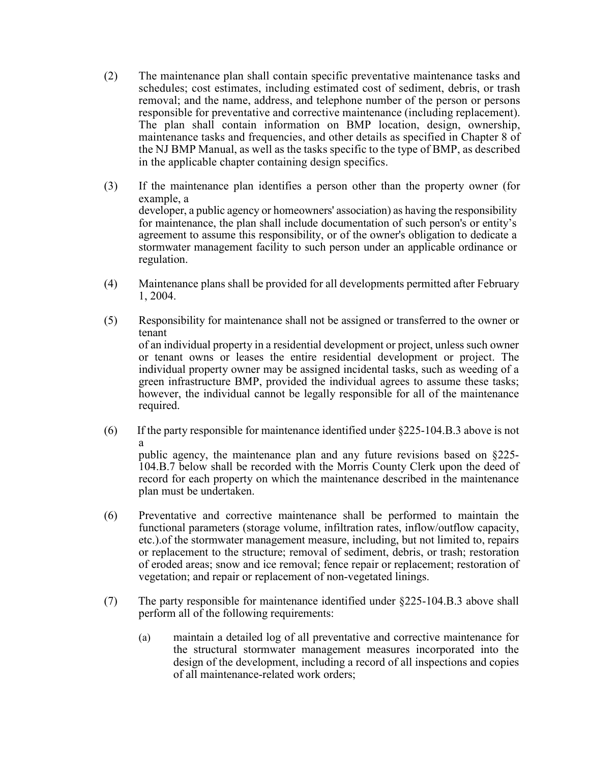- (2) The maintenance plan shall contain specific preventative maintenance tasks and schedules; cost estimates, including estimated cost of sediment, debris, or trash removal; and the name, address, and telephone number of the person or persons responsible for preventative and corrective maintenance (including replacement). The plan shall contain information on BMP location, design, ownership, maintenance tasks and frequencies, and other details as specified in Chapter 8 of the NJ BMP Manual, as well as the tasks specific to the type of BMP, as described in the applicable chapter containing design specifics.
- (3) If the maintenance plan identifies a person other than the property owner (for example, a developer, a public agency or homeowners' association) as having the responsibility for maintenance, the plan shall include documentation of such person's or entity's agreement to assume this responsibility, or of the owner's obligation to dedicate a stormwater management facility to such person under an applicable ordinance or regulation.
- (4) Maintenance plans shall be provided for all developments permitted after February 1, 2004.
- (5) Responsibility for maintenance shall not be assigned or transferred to the owner or tenant of an individual property in a residential development or project, unless such owner or tenant owns or leases the entire residential development or project. The individual property owner may be assigned incidental tasks, such as weeding of a green infrastructure BMP, provided the individual agrees to assume these tasks; however, the individual cannot be legally responsible for all of the maintenance required.
- (6) If the party responsible for maintenance identified under §225-104.B.3 above is not a public agency, the maintenance plan and any future revisions based on §225- 104.B.7 below shall be recorded with the Morris County Clerk upon the deed of record for each property on which the maintenance described in the maintenance plan must be undertaken.
- (6) Preventative and corrective maintenance shall be performed to maintain the functional parameters (storage volume, infiltration rates, inflow/outflow capacity, etc.).of the stormwater management measure, including, but not limited to, repairs or replacement to the structure; removal of sediment, debris, or trash; restoration of eroded areas; snow and ice removal; fence repair or replacement; restoration of vegetation; and repair or replacement of non-vegetated linings.
- (7) The party responsible for maintenance identified under §225-104.B.3 above shall perform all of the following requirements:
	- (a) maintain a detailed log of all preventative and corrective maintenance for the structural stormwater management measures incorporated into the design of the development, including a record of all inspections and copies of all maintenance-related work orders;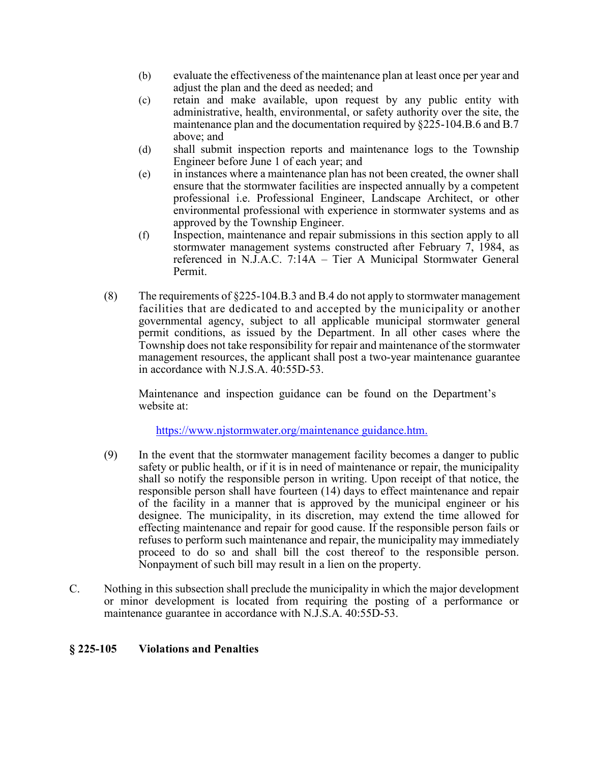- (b) evaluate the effectiveness of the maintenance plan at least once per year and adjust the plan and the deed as needed; and
- (c) retain and make available, upon request by any public entity with administrative, health, environmental, or safety authority over the site, the maintenance plan and the documentation required by §225-104.B.6 and B.7 above; and
- (d) shall submit inspection reports and maintenance logs to the Township Engineer before June 1 of each year; and
- (e) in instances where a maintenance plan has not been created, the owner shall ensure that the stormwater facilities are inspected annually by a competent professional i.e. Professional Engineer, Landscape Architect, or other environmental professional with experience in stormwater systems and as approved by the Township Engineer.
- (f) Inspection, maintenance and repair submissions in this section apply to all stormwater management systems constructed after February 7, 1984, as referenced in N.J.A.C. 7:14A – Tier A Municipal Stormwater General Permit.
- (8) The requirements of §225-104.B.3 and B.4 do not apply to stormwater management facilities that are dedicated to and accepted by the municipality or another governmental agency, subject to all applicable municipal stormwater general permit conditions, as issued by the Department. In all other cases where the Township does not take responsibility for repair and maintenance of the stormwater management resources, the applicant shall post a two-year maintenance guarantee in accordance with N.J.S.A. 40:55D-53.

Maintenance and inspection guidance can be found on the Department's website at:

[https://www.njstormwater.org/maintenance guidance.htm.](https://www.njstormwater.org/maintenance_guidance.htm)

- (9) In the event that the stormwater management facility becomes a danger to public safety or public health, or if it is in need of maintenance or repair, the municipality shall so notify the responsible person in writing. Upon receipt of that notice, the responsible person shall have fourteen (14) days to effect maintenance and repair of the facility in a manner that is approved by the municipal engineer or his designee. The municipality, in its discretion, may extend the time allowed for effecting maintenance and repair for good cause. If the responsible person fails or refuses to perform such maintenance and repair, the municipality may immediately proceed to do so and shall bill the cost thereof to the responsible person. Nonpayment of such bill may result in a lien on the property.
- C. Nothing in this subsection shall preclude the municipality in which the major development or minor development is located from requiring the posting of a performance or maintenance guarantee in accordance with N.J.S.A. 40:55D-53.

### **§ 225-105 Violations and Penalties**